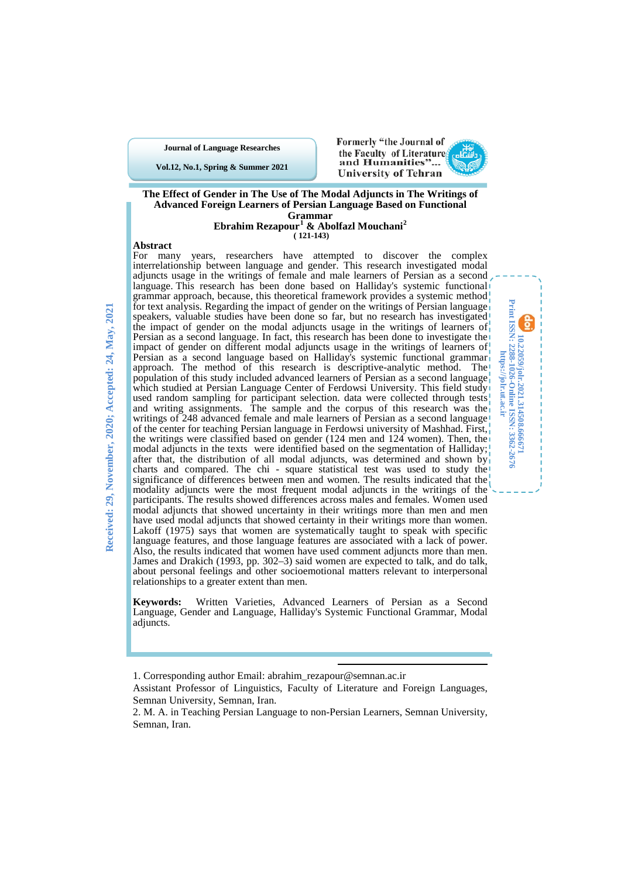**Journal of Language Researches**

**Vol.12, No.1, Spring & Summer 2021**



**10.22059/jolr.2021.314508.666671 Print ISSN: 2288-1026-Online ISSN: 3362-2676 https://jolr.ut.ac.ir**

**U0.22059/joh. 2021.314508.666671**<br>Print ISSN: 2288-1026-Online ISSN: 3362-2676<br>Print ISSN: 2288-1026-Online ISSN: 3362-2676



# **Ebrahim Rezapour[1](#page-0-0) & Abolfazl Mouchani[2](#page-0-1) ( 121-143)**

#### **Abstract**

For many years, researchers have attempted to discover the complex interrelationship between language and gender. This research investigated modal adjuncts usage in the writings of female and male learners of Persian as a second language. This research has been done based on Halliday's systemic functional grammar approach, because, this theoretical framework provides a systemic method. for text analysis. Regarding the impact of gender on the writings of Persian language speakers, valuable studies have been done so far, but no research has investigated the impact of gender on the modal adjuncts usage in the writings of learners of Persian as a second language. In fact, this research has been done to investigate the impact of gender on different modal adjuncts usage in the writings of learners of Persian as a second language based on Halliday's systemic functional grammar approach. The method of this research is descriptive-analytic method. The population of this study included advanced learners of Persian as a second language which studied at Persian Language Center of Ferdowsi University. This field study used random sampling for participant selection. data were collected through tests and writing assignments. The sample and the corpus of this research was the writings of 248 advanced female and male learners of Persian as a second language of the center for teaching Persian language in Ferdowsi university of Mashhad. First, the writings were classified based on gender (124 men and 124 women). Then, the modal adjuncts in the texts were identified based on the segmentation of Halliday; after that, the distribution of all modal adjuncts, was determined and shown by charts and compared. The chi - square statistical test was used to study the significance of differences between men and women. The results indicated that the modality adjuncts were the most frequent modal adjuncts in the writings of the participants. The results showed differences across males and females. Women used modal adjuncts that showed uncertainty in their writings more than men and men have used modal adjuncts that showed certainty in their writings more than women. Lakoff (1975) says that women are systematically taught to speak with specific language features, and those language features are associated with a lack of power. Also, the results indicated that women have used comment adjuncts more than men. James and Drakich (1993, pp. 302–3) said women are expected to talk, and do talk, about personal feelings and other socioemotional matters relevant to interpersonal relationships to a greater extent than men.

**Keywords:** Written Varieties, Advanced Learners of Persian as a Second Language, Gender and Language, Halliday's Systemic Functional Grammar, Modal adjuncts.

**.** 

<sup>1.</sup> Corresponding author Email: abrahim\_rezapour@semnan.ac.ir

<span id="page-0-0"></span>Assistant Professor of Linguistics, Faculty of Literature and Foreign Languages, Semnan University, Semnan, Iran.

<span id="page-0-1"></span><sup>2.</sup> M. A. in Teaching Persian Language to non-Persian Learners, Semnan University, Semnan, Iran.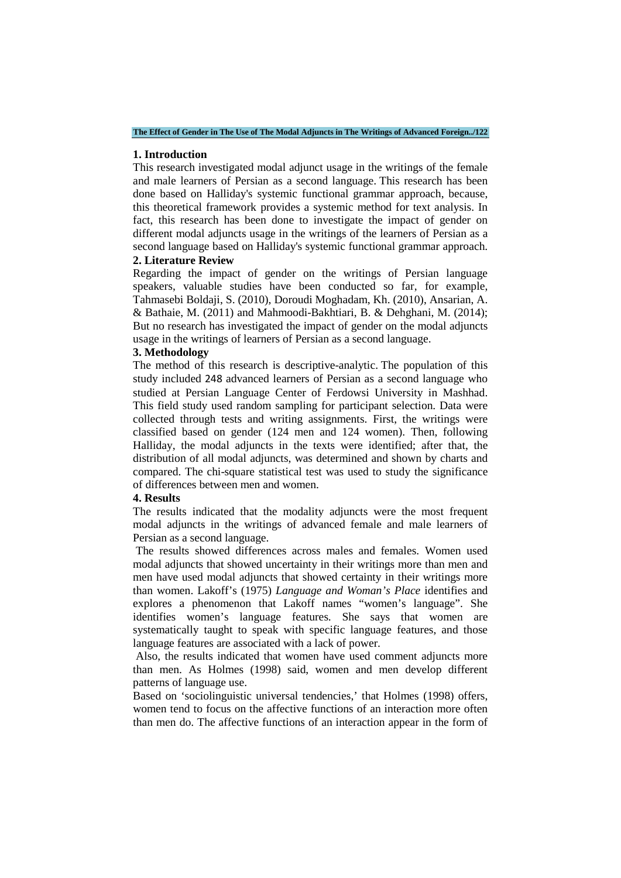**The Effect of Gender in The Use of The Modal Adjuncts in The Writings of Advanced Foreign../122**

#### **1. Introduction**

This research investigated modal adjunct usage in the writings of the female and male learners of Persian as a second language. This research has been done based on Halliday's systemic functional grammar approach, because, this theoretical framework provides a systemic method for text analysis. In fact, this research has been done to investigate the impact of gender on different modal adjuncts usage in the writings of the learners of Persian as a second language based on Halliday's systemic functional grammar approach.

### **2. Literature Review**

Regarding the impact of gender on the writings of Persian language speakers, valuable studies have been conducted so far, for example, Tahmasebi Boldaji, S. (2010), Doroudi Moghadam, Kh. (2010), Ansarian, A. & Bathaie, M. (2011) and Mahmoodi-Bakhtiari, B. & Dehghani, M. (2014); But no research has investigated the impact of gender on the modal adjuncts usage in the writings of learners of Persian as a second language.

### **3. Methodology**

The method of this research is descriptive-analytic. The population of this study included 248 advanced learners of Persian as a second language who studied at Persian Language Center of Ferdowsi University in Mashhad. This field study used random sampling for participant selection. Data were collected through tests and writing assignments. First, the writings were classified based on gender (124 men and 124 women). Then, following Halliday, the modal adjuncts in the texts were identified; after that, the distribution of all modal adjuncts, was determined and shown by charts and compared. The chi-square statistical test was used to study the significance of differences between men and women.

### **4. Results**

The results indicated that the modality adjuncts were the most frequent modal adjuncts in the writings of advanced female and male learners of Persian as a second language.

The results showed differences across males and females. Women used modal adjuncts that showed uncertainty in their writings more than men and men have used modal adjuncts that showed certainty in their writings more than women. Lakoff's (1975) *Language and Woman's Place* identifies and explores a phenomenon that Lakoff names "women's language". She identifies women's language features. She says that women are systematically taught to speak with specific language features, and those language features are associated with a lack of power.

Also, the results indicated that women have used comment adjuncts more than men. As Holmes (1998) said, women and men develop different patterns of language use.

Based on 'sociolinguistic universal tendencies,' that Holmes (1998) offers, women tend to focus on the affective functions of an interaction more often than men do. The affective functions of an interaction appear in the form of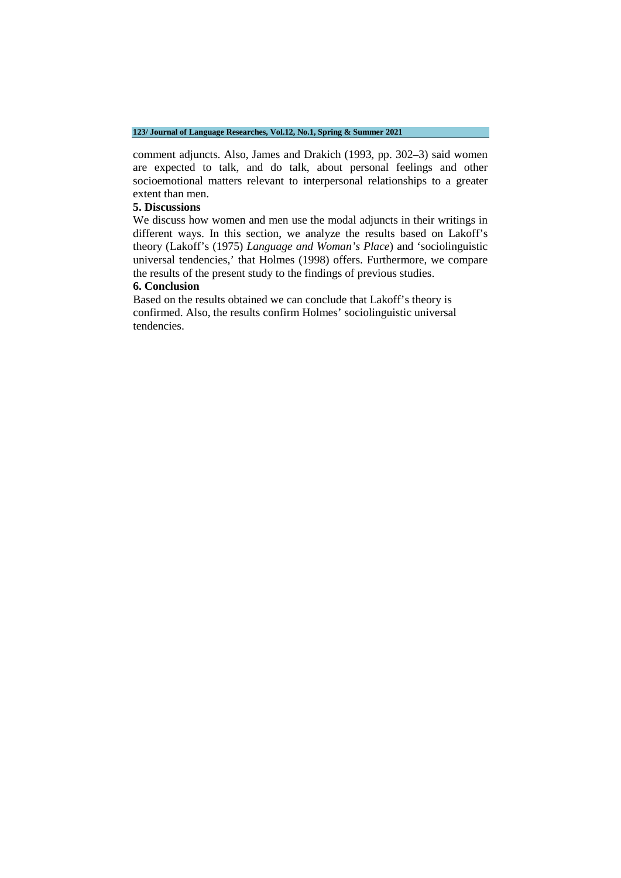#### **123/ Journal of Language Researches, Vol.12, No.1, Spring & Summer 2021**

comment adjuncts. Also, James and Drakich (1993, pp. 302–3) said women are expected to talk, and do talk, about personal feelings and other socioemotional matters relevant to interpersonal relationships to a greater extent than men.

### **5. Discussions**

We discuss how women and men use the modal adjuncts in their writings in different ways. In this section, we analyze the results based on Lakoff's theory (Lakoff's (1975) *Language and Woman's Place*) and 'sociolinguistic universal tendencies,' that Holmes (1998) offers. Furthermore, we compare the results of the present study to the findings of previous studies.

### **6. Conclusion**

Based on the results obtained we can conclude that Lakoff's theory is confirmed. Also, the results confirm Holmes' sociolinguistic universal tendencies.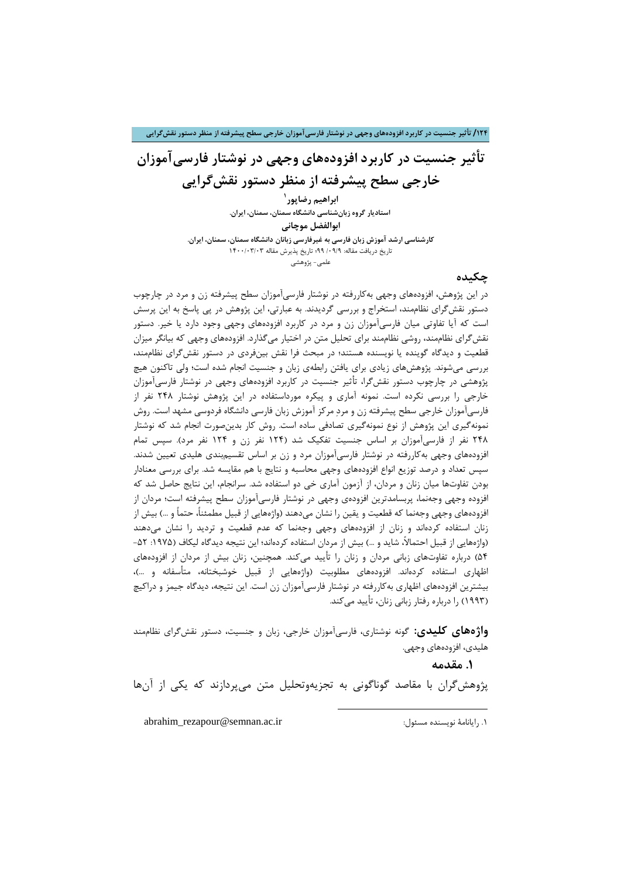**/124 تأثیر جنسیت در کاربرد افزودههاي وجهی در نوشتار فارسیآموزان خارجی سطح پیشرفته از منظر دستور نقشگرایی**

**تأثیر جنسیت در کاربرد افزودههاي وجهی در نوشتار فارسیآموزان خارجی سطح پیشرفته از منظر دستور نقشگرایی**

**[1](#page-3-0) ابراهیم رضاپور استادیار گروه زبانشناسی دانشگاه سمنان، سمنان، ایران.**

**ابوالفضل موچانی کارشناسی ارشد آموزش زبان فارسی به غیرفارسی زبانان دانشگاه سمنان، سمنان، ایران.** تاریخ دریافت مقاله: /09/9 99؛ تاریخ پذیرش مقاله 1400/03/03 علمی- پژوهشی

### **چکیده**

در این پژوهش، افزودههاي وجهی بهکاررفته در نوشتار فارسیآموزان سطح پیشرفته زن و مرد در چارچوب دستور نقشگراي نظاممند، استخراج و بررسی گردیدند. به عبارتی، این پژوهش در پی پاسخ به این پرسش است که آیا تفاوتی میان فارسیآموزان زن و مرد در کاربرد افزودههاي وجهی وجود دارد یا خیر. دستور نقشگراي نظاممند، روشی نظاممند براي تحلیل متن در اختیار میگذارد. افزودههاي وجهی که بیانگر میزان قطعیت و دیدگاه گوینده یا نویسنده هستند؛ در مبحث فرا نقش بینفردي در دستور نقشگراي نظاممند، بررسی میشوند. پژوهشهاي زیادي براي یافتن رابطهي زبان و جنسیت انجام شده است؛ ولی تاکنون هیچ پژوهشی در چارچوب دستور نقشگرا، تأثیر جنسیت در کاربرد افزودههاي وجهی در نوشتار فارسیآموزان خارجی را بررسی نکرده است. نمونه آماري و پیکره مورداستفاده در این پژوهش نوشتار 248 نفر از فارسیآموزان خارجی سطح پیشرفته زن و مرد مرکز آموزش زبان فارسی دانشگاه فردوسی مشهد است. روش نمونهگیري این پژوهش از نوع نمونهگیري تصادفی ساده است. روش کار بدینصورت انجام شد که نوشتار 248 نفر از فارسیآموزان بر اساس جنسیت تفکیک شد (124 نفر زن و 124 نفر مرد). سپس تمام افزودههاي وجهی بهکاررفته در نوشتار فارسیآموزان مرد و زن بر اساس تقسیمبندي هلیدي تعیین شدند. سپس تعداد و درصد توزیع انواع افزودههاي وجهی محاسبه و نتایج با هم مقایسه شد. براي بررسی معنادار بودن تفاوتها میان زنان و مردان، از آزمون آماري خی دو استفاده شد. سرانجام، این نتایج حاصل شد که افزوده وجهی وجهنما، پربسامدترین افزودهي وجهی در نوشتار فارسیآموزان سطح پیشرفته است؛ مردان از افزودههاي وجهی وجهنما که قطعیت و یقین را نشان میدهند (واژههایی از قبیل مطمئنا،ً حتماً و ...) بیش از زنان استفاده کردهاند و زنان از افزودههاي وجهی وجهنما که عدم قطعیت و تردید را نشان میدهند (واژههایی از قبیل احتمالاً، شاید و ...) بیش از مردان استفاده کردهاند؛ این نتیجه دیدگاه لیکاف (۱۹۷۵: ۵۲-54) درباره تفاوتهاي زبانی مردان و زنان را تأیید میکند. همچنین، زنان بیش از مردان از افزودههاي اظهاري استفاده کردهاند. افزودههاي مطلوبیت (واژههایی از قبیل خوشبختانه، متأسفانه و ...)، بیشترین افزودههاي اظهاري بهکاررفته در نوشتار فارسیآموزان زن است. این نتیجه، دیدگاه جیمز و دراکیچ (1993) را درباره رفتار زبانی زنان، تأیید میکند.

**واژههاي کلیدي:** گونه نوشتاري، فارسیآموزان خارجی، زبان و جنسیت، دستور نقشگراي نظاممند هلیدي، افزودههاي وجهی.

**.1 مقدمه**

<span id="page-3-0"></span>پژوهشگران با مقاصد گوناگونی به تجزیهوتحلیل متن میپردازند که یکی از آنها

 $\overline{a}$ 

abrahim\_rezapour@semnan.ac.ir :مسئول نویسنده رایانامۀ .1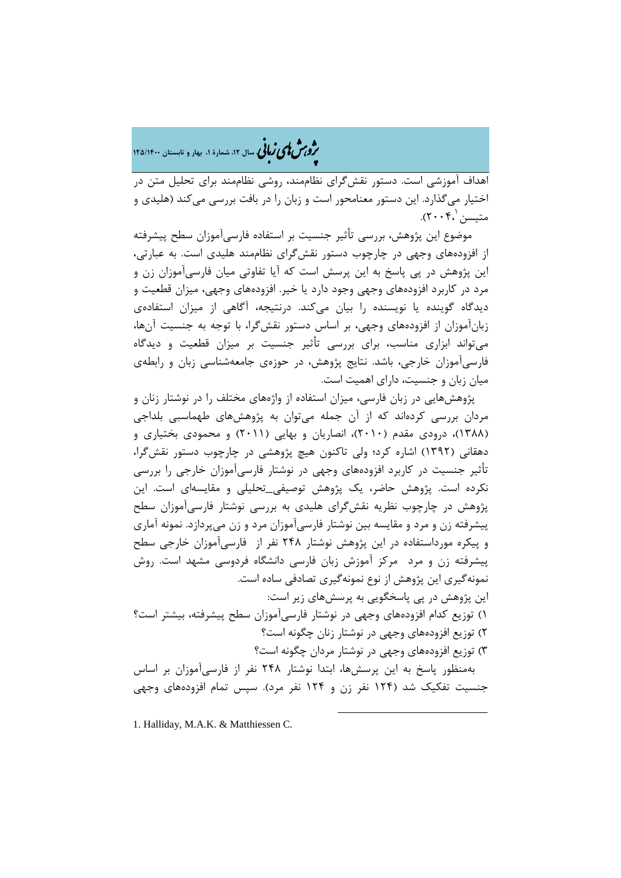# ه م**شملی زبانی** سال ۱۲ شمارهٔ ۱۰ بهار و تابستان ۱۳۵/۱۴۰۰

اهداف آموزشی است. دستور نقشگراي نظاممند، روشی نظاممند براي تحلیل متن در اختیار میگذارد. این دستور معنامحور است و زبان را در بافت بررسی میکند (هلیدي و متیسن ۲۰۰۴).

 موضوع این پژوهش، بررسی تأثیر جنسیت بر استفاده فارسیآموزان سطح پیشرفته از افزودههاي وجهی در چارچوب دستور نقشگراي نظاممند هلیدي است. به عبارتی، این پژوهش در پی پاسخ به این پرسش است که آیا تفاوتی میان فارسیآموزان زن و مرد در کاربرد افزودههاي وجهی وجود دارد یا خیر. افزودههاي وجهی، میزان قطعیت و دیدگاه گوینده یا نویسنده را بیان میکند. درنتیجه، آگاهی از میزان استفادهي زبانآموزان از افزودههاي وجهی، بر اساس دستور نقشگرا، با توجه به جنسیت آنها، میتواند ابزاري مناسب، براي بررسی تأثیر جنسیت بر میزان قطعیت و دیدگاه فارسیآموزان خارجی، باشد. نتایج پژوهش، در حوزهي جامعهشناسی زبان و رابطهي میان زبان و جنسیت، داراي اهمیت است.

 پژوهشهایی در زبان فارسی، میزان استفاده از واژههاي مختلف را در نوشتار زنان و مردان بررسی کردهاند که از آن جمله میتوان به پژوهشهاي طهماسبی بلداجی (1388)، درودي مقدم (2010)، انصاریان و بهایی (2011) و محمودي بختیاري و دهقانی (1392) اشاره کرد؛ ولی تاکنون هیچ پژوهشی در چارچوب دستور نقشگرا، تأثیر جنسیت در کاربرد افزودههاي وجهی در نوشتار فارسیآموزان خارجی را بررسی نکرده است. پژوهش حاضر، یک پژوهش توصیفی\_تحلیلی و مقایسهاي است. این پژوهش در چارچوب نظریه نقشگراي هلیدي به بررسی نوشتار فارسیآموزان سطح پیشرفته زن و مرد و مقایسه بین نوشتار فارسیآموزان مرد و زن میپردازد. نمونه آماري و پیکره مورداستفاده در این پژوهش نوشتار 248 نفر از فارسیآموزان خارجی سطح پیشرفته زن و مرد مرکز آموزش زبان فارسی دانشگاه فردوسی مشهد است. روش نمونهگیري این پژوهش از نوع نمونهگیري تصادفی ساده است. این پژوهش در پی پاسخگویی به پرسشهاي زیر است:

1) توزیع کدام افزودههاي وجهی در نوشتار فارسیآموزان سطح پیشرفته، بیشتر است؟ 2) توزیع افزودههاي وجهی در نوشتار زنان چگونه است؟ 3) توزیع افزودههاي وجهی در نوشتار مردان چگونه است؟

 بهمنظور پاسخ به این پرسشها، ابتدا نوشتار 248 نفر از فارسیآموزان بر اساس جنسیت تفکیک شد (124 نفر زن و 124 نفر مرد). سپس تمام افزودههاي وجهی

 $\overline{a}$ 

<span id="page-4-0"></span>1. Halliday, M.A.K. & Matthiessen C.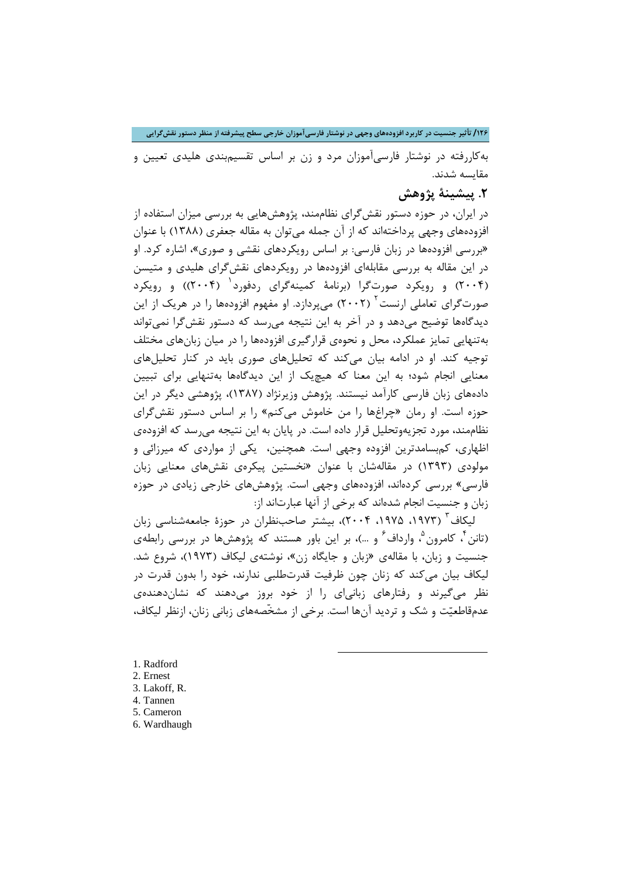**/126 تأثیر جنسیت در کاربرد افزودههاي وجهی در نوشتار فارسیآموزان خارجی سطح پیشرفته از منظر دستور نقشگرایی**

بهکاررفته در نوشتار فارسیآموزان مرد و زن بر اساس تقسیمبندي هلیدي تعیین و مقایسه شدند.

### **.2 پیشینۀ پژوهش**

در ایران، در حوزه دستور نقشگراي نظاممند، پژوهشهایی به بررسی میزان استفاده از افزودههاي وجهی پرداختهاند که از آن جمله میتوان به مقاله جعفري (1388) با عنوان «بررسی افزودهها در زبان فارسی: بر اساس رویکردهاي نقشی و صوري»، اشاره کرد. او در این مقاله به بررسی مقابلهاي افزودهها در رویکردهاي نقشگراي هلیدي و متیسن (۲۰۰۴) و رویکرد صورتگرا (برنامۀ کمینهگرای ردفورد ٰ (۲۰۰۴)) و رویکرد صورت $\mathcal{Z}$ رای تعاملی ارنست $^{1}$  (۲۰۰۲) میپردازد. او مفهوم افزودهها را در هریک از این دیدگاهها توضیح میدهد و در آخر به این نتیجه میرسد که دستور نقشگرا نمیتواند بهتنهایی تمایز عملکرد، محل و نحوهي قرارگیري افزودهها را در میان زبانهاي مختلف توجیه کند. او در ادامه بیان میکند که تحلیلهاي صوري باید در کنار تحلیلهاي معنایی انجام شود؛ به این معنا که هیچیک از این دیدگاهها بهتنهایی براي تبیین دادههاي زبان فارسی کارآمد نیستند. پژوهش وزیرنژاد (1387)، پژوهشی دیگر در این حوزه است. او رمان «چراغها را من خاموش میکنم» را بر اساس دستور نقشگراي نظاممند، مورد تجزیهوتحلیل قرار داده است. در پایان به این نتیجه میرسد که افزودهي اظهاري، کمبسامدترین افزوده وجهی است. همچنین، یکی از مواردي که میرزائی و مولودي (1393) در مقالهشان با عنوان «نخستین پیکرهي نقشهاي معنایی زبان فارسی» بررسی کردهاند، افزودههاي وجهی است. پژوهشهاي خارجی زیادي در حوزه زبان و جنسیت انجام شدهاند که برخی از آنها عبارتاند از:

لیکاف<sup>۳</sup> (۱۹۷۳، ۱۹۷۵، ۲۰۰۴)، بیشتر صاحبنظران در حوزهٔ جامعهشناسی زبان (تانن ٔ ، کامرون ؓ ، وارداف ٔ و …)، بر این باور هستند که پژوهشها در بررسی رابطهی جنسیت و زبان، با مقالهي «زبان و جایگاه زن»، نوشتهي لیکاف (1973)، شروع شد. لیکاف بیان میکند که زنان چون ظرفیت قدرتطلبی ندارند، خود را بدون قدرت در نظر میگیرند و رفتارهاي زبانیاي را از خود بروز میدهند که نشاندهندهي عدمقاطعیت و شک و تردید آنها است. برخی از مشخّصههاي زبانی زنان، ازنظر لیکاف،

1

<span id="page-5-1"></span><span id="page-5-0"></span>1. Radford 2. Ernest

- <span id="page-5-2"></span>3. Lakoff, R.
- <span id="page-5-3"></span>4. Tannen
- <span id="page-5-4"></span>5. Cameron
- <span id="page-5-5"></span>6. Wardhaugh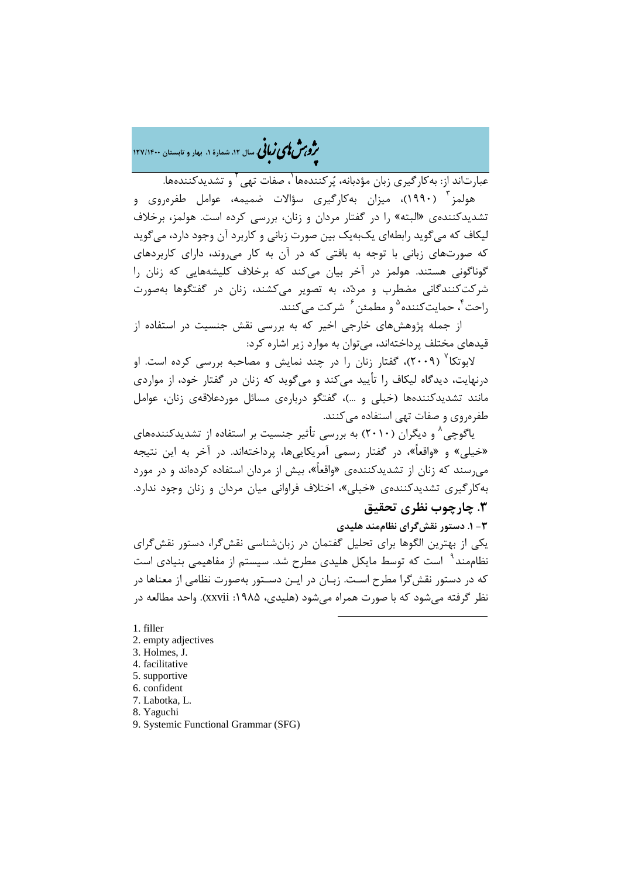�ی زبا **، سال ،12 شمارة ،1 بهار و تابستان 127/1400** � �و ی �ش

عبارتاند از: به کار گیری زبان مؤدبانه، پُرکنندهها <sup>۱</sup>، صفات تهی <sup>۲</sup> و تشدیدکنندهها. [3](#page-6-2) هولمز (1990)، میزان بهکارگیري سؤالات ضمیمه، عوامل طفرهروي و تشدیدکنندهي «البته» را در گفتار مردان و زنان، بررسی کرده است. هولمز، برخلاف لیکاف که میگوید رابطهاي یکبهیک بین صورت زبانی و کاربرد آن وجود دارد، میگوید که صورتهاي زبانی با توجه به بافتی که در آن به کار میروند، داراي کاربردهاي گوناگونی هستند. هولمز در آخر بیان میکند که برخلاف کلیشههایی که زنان را شرکتکنندگانی مضطرب و مردد، به تصویر میکشند، زنان در گفتگوها بهصورت راحت <sup>۴</sup>، حمایتکننده <sup>۵</sup> و مطمئن <sup>۶</sup> شرکت میکنند.

 از جمله پژوهشهاي خارجی اخیر که به بررسی نقش جنسیت در استفاده از قیدهاي مختلف پرداختهاند، میتوان به موارد زیر اشاره کرد:

لابوتکا<sup>۷</sup> (۲۰۰۹)، گفتار زنان را در چند نمایش و مصاحبه بررسی کرده است. او درنهایت، دیدگاه لیکاف را تأیید میکند و میگوید که زنان در گفتار خود، از مواردي مانند تشدیدکنندهها (خیلی و ...)، گفتگو دربارهي مسائل موردعلاقهي زنان، عوامل طفرهروي و صفات تهی استفاده میکنند.

یاگوچی^ و دیگران (۲۰۱۰) به بررسی تأثیر جنسیت بر استفاده از تشدیدکنندههای «خیلی» و «واقعاً»، در گفتار رسمی آمریکاییها، پرداختهاند. در آخر به این نتیجه میرسند که زنان از تشدیدکنندهي «واقعاً»، بیش از مردان استفاده کردهاند و در مورد بهکارگیري تشدیدکنندهي «خیلی»، اختلاف فراوانی میان مردان و زنان وجود ندارد. **.3 چارچوب نظري تحقیق**

**-3 .1 دستور نقشگراي نظاممند هلیدي** یکی از بهترین الگوها براي تحلیل گفتمان در زبانشناسی نقشگرا، دستور نقشگراي نظاممند<sup>۹</sup> است که توسط مایکل هلیدی مطرح شد. سیستم از مفاهیمی بنیادی است که در دستور نقشگرا مطرح اسـت. زبـان در ایـن دسـتور بهصورت نظامی از معناها در نظر گرفته می شود که با صورت همراه می شود (هلیدی، ۱۹۸۵: xxvii). واحد مطالعه در

1

<span id="page-6-0"></span>1. filler

- <span id="page-6-1"></span>2. empty adjectives
- <span id="page-6-2"></span>3. Holmes, J.
- <span id="page-6-3"></span>4. facilitative
- <span id="page-6-4"></span>5. supportive
- <span id="page-6-5"></span>6. confident
- <span id="page-6-6"></span>7. Labotka, L.

<span id="page-6-7"></span>8. Yaguchi

<span id="page-6-8"></span>9. Systemic Functional Grammar (SFG)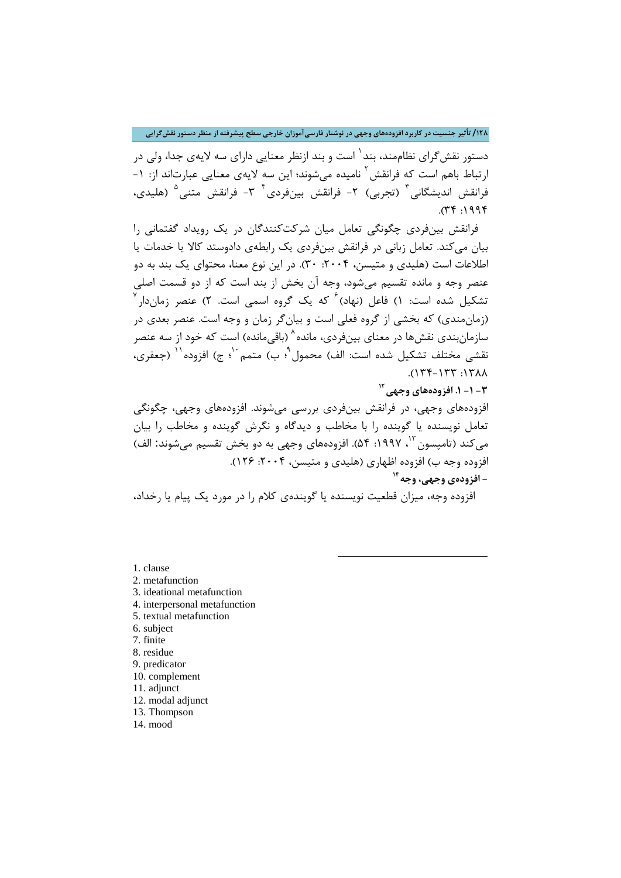**/128 تأثیر جنسیت در کاربرد افزودههاي وجهی در نوشتار فارسیآموزان خارجی سطح پیشرفته از منظر دستور نقشگرایی**

دستور نقش *گ*رای نظاممند، بند <sup>۱</sup> است و بند ازنظر معنایی دارای سه لایهی جدا، ولی در ارتباط باهم است که فرانقش <sup>۲</sup> نامیده می شوند؛ این سه لایهی معنایی عبارتاند از: ۱-فرانقش اندیشگانی <sup>۳</sup> (تجربی) ۲- فرانقش بینفردی <sup>۴ -</sup>7- فرانقش متنی <sup>۵</sup> (هلیدی،  $(74.1994)$ 

 فرانقش بینفردي چگونگی تعامل میان شرکتکنندگان در یک رویداد گفتمانی را بیان میکند. تعامل زبانی در فرانقش بینفردي یک رابطهي دادوستد کالا یا خدمات یا اطلاعات است (هلیدی و متیسن، ۲۰۰۴: ۳۰). در این نوع معنا، محتوای یک بند به دو عنصر وجه و مانده تقسیم میشود، وجه آن بخش از بند است که از دو قسمت اصلی تشکیل شده است: ۱) فاعل (نهاد)<sup>۶</sup> که یک گروه اسمی است. ۲) عنصر زماندار<sup>۷</sup> (زمانمندي) که بخشی از گروه فعلی است و بیانگر زمان و وجه است. عنصر بعدي در سازمان بندی نقش ها در معنای بین فردی، مانده <sup>۸</sup> (باقی مانده) است که خود از سه عنصر نقشی مختلف تشکیل شده است: الف) محمول <sup>۹</sup>؛ ب) متمم ٔ ۱ْ؛ ج) افزوده <sup>۱۱</sup> (جعفری،  $\Lambda \Lambda$ 7/: 77/-77/).

**[12](#page-7-11) -3 -1 .1 افزودههاي وجهی**

افزودههاي وجهی، در فرانقش بینفردي بررسی میشوند. افزودههاي وجهی، چگونگی تعامل نویسنده یا گوینده را با مخاطب و دیدگاه و نگرش گوینده و مخاطب را بیان میکند (تامپسون ۱۳، ۱۹۹۷: ۵۴). افزودههای وجهی به دو بخش تقسیم میشوند: الف) افزوده وجه ب) افزوده اظهاري (هلیدي و متیسن، ۲۰۰۴: ۱۲۶). **14 - افزودهي وجهی، وجه**

افزوده وجه، میزان قطعیت نویسنده یا گویندهي کلام را در مورد یک پیام یا رخداد،

**.** 

<span id="page-7-0"></span>[1.](#page-7-13) clause

<span id="page-7-1"></span>2. metafunction

<span id="page-7-2"></span>3. ideational metafunction

<span id="page-7-3"></span>4. interpersonal metafunction

<span id="page-7-4"></span>5. textual metafunction

<span id="page-7-5"></span>6. subject

<span id="page-7-6"></span>7. finite

<span id="page-7-7"></span>8. residue 9. predicator

<span id="page-7-9"></span><span id="page-7-8"></span>10. complement

<span id="page-7-10"></span>11. adjunct

<span id="page-7-11"></span>12. modal adjunct

<span id="page-7-12"></span>13. Thompson

<span id="page-7-13"></span>14. mood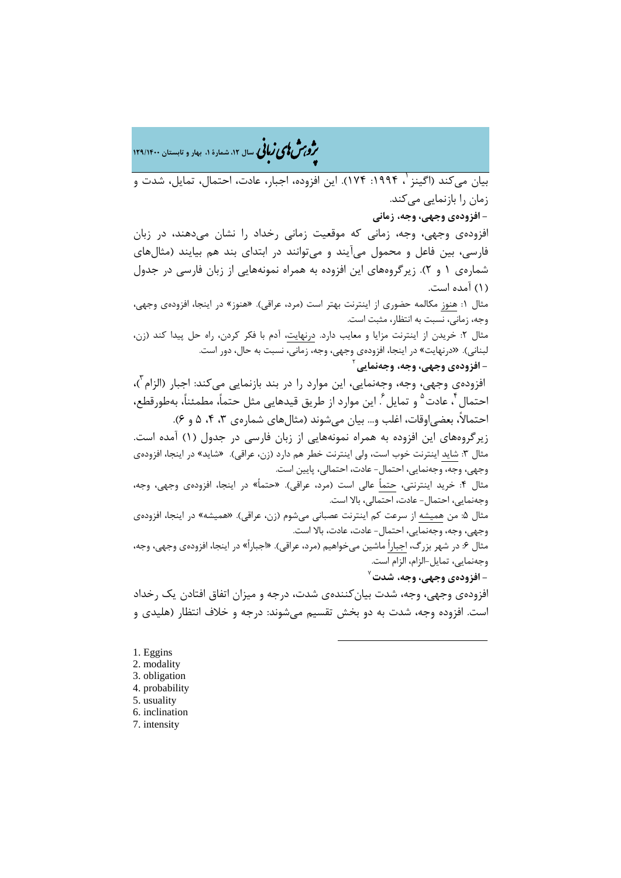�ی زبا **، سال ،12 شمارة ،1 بهار و تابستان 129/1400** � �و ی �ش

بیان می کند (اگینز <sup>۱</sup>، ۱۹۹۴: ۱۷۴). این افزوده، اجبار، عادت، احتمال، تمایل، شدت و زمان را بازنمایی میکند.

**[-](#page-8-0) افزودهي وجهی، وجه، زمانی**

افزودهي وجهی، وجه، زمانی که موقعیت زمانی رخداد را نشان میدهند، در زبان فارسی، بین فاعل و محمول میآیند و میتوانند در ابتداي بند هم بیایند (مثالهاي شمارهي 1 و 2). زیرگروههاي این افزوده به همراه نمونههایی از زبان فارسی در جدول (1) آمده است.

مثال :1 هنوز مکالمه حضوري از اینترنت بهتر است (مرد، عراقی). «هنوز» در اینجا، افزودهي وجهی، وجه، زمانی، نسبت به انتظار، مثبت است.

مثال ٢: خریدن از اینترنت مزایا و معایب دارد. درنهایت، آدم با فکر کردن، راه حل پیدا کند (زن، لبنانی). «درنهایت» در اینجا، افزودهي وجهی، وجه، زمانی، نسبت به حال، دور است.

## [2](#page-8-1) **- افزودهي وجهی، وجه، وجهنمایی**

افزودهی وجهی، وجه، وجهنمایی، این موارد را در بند بازنمایی میکند: اجبار (الزام<sup>۲</sup>)، احتمال أ ،عادت <sup>۵</sup> و تمايل <sup>۶</sup>. اين موارد از طريق قيدهايي مثل حتماً، مطمئناً، بهطورقطع، احتمالاً، بعضی|وقات، اغلب و… بیان می شوند (مثالهای شمارهی ۳، ۴، ۵ و ۶).

زیرگروههاي این افزوده به همراه نمونههایی از زبان فارسی در جدول (1) آمده است. مثال ٣: شاید اینترنت خوب است، ولی اینترنت خطر هم دارد (زن، عراقی). «شاید» در اینجا، افزودهی وجهی، وجه، وجهنمایی، احتمال- عادت، احتمالی، پایین است. مثال ۴: خرید اینترنتی، حتماً عالی است (مرد، عراقی). «حتماً» در اینجا، افزودهی وجهی، وجه، وجهنمایی، احتمال- عادت، احتمالی، بالا است.

مثال ۵: من همیشه از سرعت کم اینترنت عصبانی میشوم (زن، عراقی). «همیشه» در اینجا، افزودهی وجهی، وجه، وجهنمایی، احتمال- عادت، عادت، بالا است.

مثال ۶: در شهر بزرگ، اجباراً ماشین میخواهیم (مرد، عراقی). «اجباراً» در اینجا، افزودهی وجهی، وجه، وجهنمایی، تمایل-الزام، الزام است.

7 **- افزودهي وجهی، وجه، شدت**

افزودهي وجهی، وجه، شدت بیانکنندهي شدت، درجه و میزان اتفاق افتادن یک رخداد است. افزوده وجه، شدت به دو بخش تقسیم میشوند: درجه و خلاف انتظار (هلیدي و

-

<span id="page-8-1"></span><span id="page-8-0"></span>[1.](#page-8-6) Eggins 2. modality 3. obligation

- <span id="page-8-3"></span><span id="page-8-2"></span>4. probability
- <span id="page-8-4"></span>5. usuality
- 6. inclination
- <span id="page-8-6"></span><span id="page-8-5"></span>7. intensity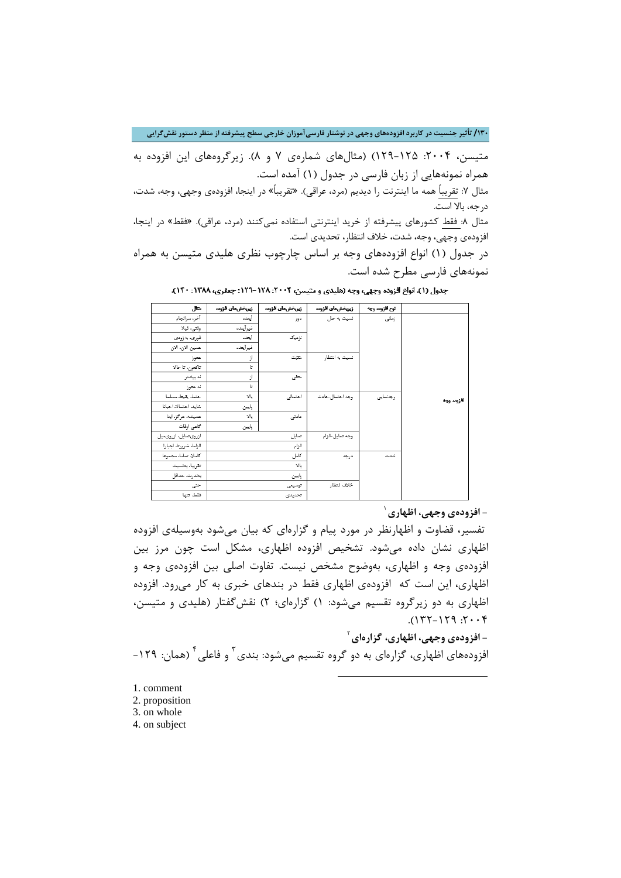**/130 تأثیر جنسیت در کاربرد افزودههاي وجهی در نوشتار فارسیآموزان خارجی سطح پیشرفته از منظر دستور نقشگرایی**

متیسن، ۲۰۰۴: ۱۲۵-۱۲۹) (مثالهای شمارهی ۷ و ۸). زیرگروههای این افزوده به همراه نمونههایی از زبان فارسی در جدول (1) آمده است.

مثال ٧: تقریباً همه ما اینترنت را دیدیم (مرد، عراقی). «تقریباً» در اینجا، افزودهی وجهی، وجه، شدت، درجه، بالا است.

مثال ٨: فقط کشورهای پیشرفته از خرید اینترنتی استفاده نمیکنند (مرد، عراقی). «فقط» در اینجا، افزودهي وجهی، وجه، شدت، خلاف انتظار، تحدیدي است.

در جدول (1) انواع افزودههاي وجه بر اساس چارچوب نظري هلیدي متیسن به همراه نمونههاي فارسی مطرح شده است.

| متال                   | زيريخش هاى افزوده | زيريخش هاى افزوده | زيريخش هاى افزوده | ثوع أقزوده وجه |           |
|------------------------|-------------------|-------------------|-------------------|----------------|-----------|
| آخر، سرائجام           | آيتده             | دور               | نسيت به حال       | زمانی          |           |
| وقتي. قيلا             | غيرأيتده          |                   |                   |                |           |
| فوری، پەزودى           | آيتده             | نزدیک             |                   |                |           |
| همين الان، الان        | غيرأيتده          |                   |                   |                |           |
| هتوز                   | از                | متتبت             | نسيت به انتظار    |                |           |
| تاكتون، تا حالا        | Ŀ                 |                   |                   |                |           |
| نه بيشتر               | از                | متفى              |                   |                |           |
| ئه هتوز                | G                 |                   |                   |                |           |
| حتماء يقيتاء مسلما     | يالا              | احتمالى           | وجه احتمال حادت   | وجەنمايى       | فزوده وجه |
| شايد، احتمالا، احيانا  | بايين             |                   |                   |                |           |
| همیشه، هرگز، ابدا      | γĻ                | عادتى             |                   |                |           |
| كاهى اوقات             | بايين             |                   |                   |                |           |
| ازروی تمایل، ازروی میل |                   | تمايل             | وجه تمايل-الزام   |                |           |
| الزاماء ضرورتاء اجيارا |                   | الزام             |                   |                |           |
| كاملا، تماما، مجموعا   |                   | كامل              | درجه              | شدت            |           |
| تقريبا، يخسيت          |                   | γĿ                |                   |                |           |
| يەندرت، حداقل          |                   | بايين             |                   |                |           |
| حتى                    |                   | توسيعى            | خلاف انتظار       |                |           |
| فقط، تتها              |                   | تحديدي            |                   |                |           |

جدول (١). اتواع افزوده وجهي، وجه (هليدي و متيسن، ٢٠٠۴. ١٢٨ -١٢٩: جعفري، ١٣٨٨: ١٤٠٠).

1 **- افزودهي وجهی، اظهاري**

تفسیر، قضاوت و اظهارنظر در مورد پیام و گزارهاي که بیان میشود بهوسیلهي افزوده اظهاري نشان داده میشود. تشخیص افزوده اظهاري، مشکل است چون مرز بین افزودهي وجه و اظهاري، بهوضوح مشخص نیست. تفاوت اصلی بین افزودهي وجه و اظهاري، این است که افزودهي اظهاري فقط در بندهاي خبري به کار میرود. افزوده اظهاري به دو زیرگروه تقسیم میشود: 1) گزارهاي؛ 2) نقشگفتار (هلیدي و متیسن،  $7.7:$   $971-771$ ).

[2](#page-9-1) **[-](#page-9-0) افزودهي وجهی، اظهاري، گزارهاي** افزودههای اظهاری، گزارهای به دو گروه تقسیم میشود: بندی <sup>۳</sup> و فاعلی <sup>۴</sup> (همان: ۱۲۹–

1

- <span id="page-9-0"></span>[1.](#page-9-3) comment
- 2. proposition
- <span id="page-9-2"></span><span id="page-9-1"></span>3. on whole
- <span id="page-9-3"></span>4. on subject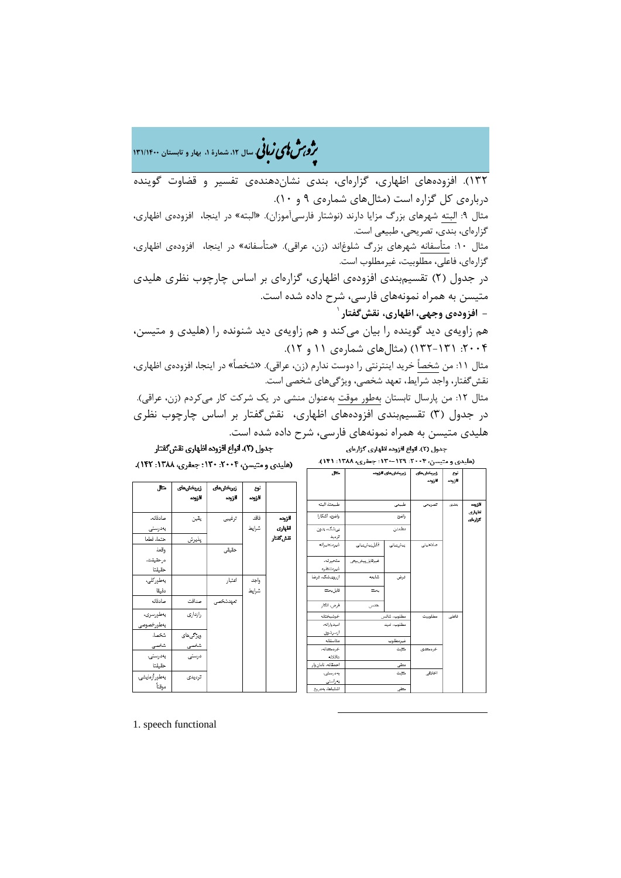�ی زبا **، سال ،12 شمارة ،1 بهار و تابستان 131/1400** � �و ی �ش

132). افزودههاي اظهاري، گزارهاي، بندي نشاندهندهي تفسیر و قضاوت گوینده دربارهي کل گزاره است (مثالهاي شمارهي 9 و 10). مثال :9 البته شهرهاي بزرگ مزایا دارند (نوشتار فارسیآموزان). «البته» در اینجا، افزودهي اظهاري، گزارهاي، بندي، تصریحی، طبیعی است. مثال :10 متأسفانه شهرهاي بزرگ شلوغاند (زن، عراقی). «متأسفانه» در اینجا، افزودهي اظهاري، گزارهاي، فاعلی، مطلوبیت، غیرمطلوب است. در جدول (2) تقسیمبندي افزودهي اظهاري، گزارهاي بر اساس چارچوب نظري هلیدي متیسن به همراه نمونههاي فارسی، شرح داده شده است. 1 **- افزودهي وجهی، اظهاري، نقشگفتار** هم زاویهي دید گوینده را بیان میکند و هم زاویهي دید شنونده را (هلیدي و متیسن، :2004 132-131) (مثالهاي شمارهي 11 و 12). مثال :11 من شخصاً خرید اینترنتی را دوست ندارم (زن، عراقی). «شخصاً» در اینجا، افزودهي اظهاري، نقشگفتار، واجد شرایط، تعهد شخصی، ویژگیهاي شخصی است. مثال :12 من پارسال تابستان بهطور موقت بهعنوان منشی در یک شرکت کار میکردم (زن، عراقی).

در جدول (3) تقسیمبندي افزودههاي اظهاري، نقشگفتار بر اساس چارچوب نظري هلیدي متیسن به همراه نمونههاي فارسی، شرح داده شده است.

جدول (٣). انواع افزوده اظهاري نقش گفتار

افزوده

يذيرش

صداقت

رازدارى

ويزكى هاى

شخصی

درستی

ترديدى

سادقائه

بەدرستى

واقعاء

دقيقا

صادقانه

.<br>بەطورسرى.

بەطورخصو شخصاء

شخ<u>صی</u>

بەدرستى،

مقيقتا يەطورآزمايشى.

موقتأ

متماء قطعا

درحقيقت. حقيقتا .<br>بەطوركلى،

جدول (۲). اتواع افزوده اظهاری گزارهای (هلیدی و متیسن، ۲۰۰۴: ۱۲۹-۱۳۰: جعفری، ۱۳۸۸: ۱۴۱).

> افزوده اظهارى

كزارماي

| طبيعتاء البته<br>طييعى<br>يتدى<br>تصريحى<br>واضح. آشكارا<br>واضج<br>افزوده<br>اظهارى<br>بىشك، بدون<br>مطمثن<br>ترديد<br>غيرمتحيرانه<br>فابل پیش بیتی<br>صلاحيتى<br>ييشيينى<br>متحيراته<br>غيرقابل پيش بيتى<br>غيرمتنظره<br>ازروىشك، فرضا<br>شايعه<br>فرض<br>فابل بحت<br>يحت<br>فرض، انگار<br>حدس<br>خوشيختانه<br>مطلوب، شائس<br>فاعلى<br>مطلوبيت<br>اميدوارائه.<br>مطلوب، امید<br>ازسرشوق<br>متاسقاته<br>غيرمطلوب<br>خردمتدائه،<br>متبت<br>خردمتدى<br>عاقاته<br>احمقانه. نادان وار<br>متقى<br>اخارقى<br>يەدرستى،<br>متتبت<br>يەراستى<br>اشتياها، يەدروغ<br>متقى |           | متتال | زيريخش هاى افزوده | زيريخش هاى<br>افزوده | ئوع<br>الزوده |
|-----------------------------------------------------------------------------------------------------------------------------------------------------------------------------------------------------------------------------------------------------------------------------------------------------------------------------------------------------------------------------------------------------------------------------------------------------------------------------------------------------------------------------------------------------------------|-----------|-------|-------------------|----------------------|---------------|
|                                                                                                                                                                                                                                                                                                                                                                                                                                                                                                                                                                 |           |       |                   |                      |               |
|                                                                                                                                                                                                                                                                                                                                                                                                                                                                                                                                                                 |           |       |                   |                      |               |
|                                                                                                                                                                                                                                                                                                                                                                                                                                                                                                                                                                 |           |       |                   |                      |               |
|                                                                                                                                                                                                                                                                                                                                                                                                                                                                                                                                                                 | نقش كفتار |       |                   |                      |               |
|                                                                                                                                                                                                                                                                                                                                                                                                                                                                                                                                                                 |           |       |                   |                      |               |
|                                                                                                                                                                                                                                                                                                                                                                                                                                                                                                                                                                 |           |       |                   |                      |               |
|                                                                                                                                                                                                                                                                                                                                                                                                                                                                                                                                                                 |           |       |                   |                      |               |
|                                                                                                                                                                                                                                                                                                                                                                                                                                                                                                                                                                 |           |       |                   |                      |               |
|                                                                                                                                                                                                                                                                                                                                                                                                                                                                                                                                                                 |           |       |                   |                      |               |
|                                                                                                                                                                                                                                                                                                                                                                                                                                                                                                                                                                 |           |       |                   |                      |               |
|                                                                                                                                                                                                                                                                                                                                                                                                                                                                                                                                                                 |           |       |                   |                      |               |
|                                                                                                                                                                                                                                                                                                                                                                                                                                                                                                                                                                 |           |       |                   |                      |               |
|                                                                                                                                                                                                                                                                                                                                                                                                                                                                                                                                                                 |           |       |                   |                      |               |
|                                                                                                                                                                                                                                                                                                                                                                                                                                                                                                                                                                 |           |       |                   |                      |               |
|                                                                                                                                                                                                                                                                                                                                                                                                                                                                                                                                                                 |           |       |                   |                      |               |
|                                                                                                                                                                                                                                                                                                                                                                                                                                                                                                                                                                 |           |       |                   |                      |               |
|                                                                                                                                                                                                                                                                                                                                                                                                                                                                                                                                                                 |           |       |                   |                      |               |
|                                                                                                                                                                                                                                                                                                                                                                                                                                                                                                                                                                 |           |       |                   |                      |               |
|                                                                                                                                                                                                                                                                                                                                                                                                                                                                                                                                                                 |           |       |                   |                      |               |

 $\overline{a}$ 

(هليدي و متيسن، ٢٠٠۴: ١٣٠: جعفري، ١٣٨٨: ١۴٢). متال زيريخش هاى زيريخش هاى نوع

1. speech functional

فاقد يقين ترفييى شرايط ی

افزوده

حقيقى

اعتيار

تبهدشخصى

افزوده

واجد

شرايط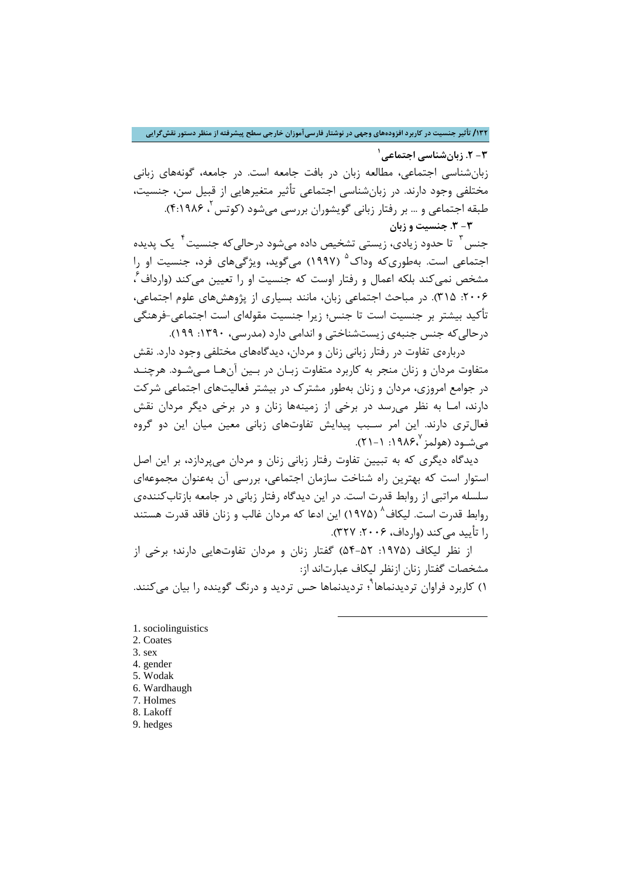**/132 تأثیر جنسیت در کاربرد افزودههاي وجهی در نوشتار فارسیآموزان خارجی سطح پیشرفته از منظر دستور نقشگرایی**

**[1](#page-11-0) -3 .2 زبانشناسی اجتماعی**

زبانشناسی اجتماعی، مطالعه زبان در بافت جامعه است. در جامعه، گونههاي زبانی مختلفی وجود دارند. در زبانشناسی اجتماعی تأثیر متغیرهایی از قبیل سن، جنسیت، ، 4:1986). <sup>2</sup> طبقه اجتماعی و ... بر رفتار زبانی گویشوران بررسی میشود (کوتس **[-3](#page-11-1) .3 جنسیت و زبان**

جنس <sup>۳</sup> تا حدود زیادی، زیستی تشخیص داده میشود درحالیکه جنسیت <sup>۴</sup> یک پدیده اجتماعی است. بهطوریکه وداک<sup>۵</sup> (۱۹۹۷) میگوید، ویژگیهای فرد، جنسیت او را مشخص نمیکند بلکه اعمال و رفتار اوست که جنسیت او را تعیین میکند (وارداف ً، :2006 315). در مباحث اجتماعی زبان، مانند بسیاري از پژوهشهاي علوم اجتماعی، تأکید بیشتر بر جنسیت است تا جنس؛ زیرا جنسیت مقولهاي است اجتماعی-فرهنگی درحالیکه جنس جنبهي زیستشناختی و اندامی دارد (مدرسی، :1390 199).

 دربارهي تفاوت در رفتار زبانی زنان و مردان، دیدگاههاي مختلفی وجود دارد. نقش متفاوت مردان و زنان منجر به کاربرد متفاوت زبـان در بـین آنهـا مـیشـود. هرچنـد در جوامع امروزي، مردان و زنان بهطور مشترك در بیشتر فعالیتهاي اجتماعی شرکت دارند، امـا به نظر میرسد در برخی از زمینهها زنان و در برخی دیگر مردان نقش فعالتري دارند. این امر سـبب پیدایش تفاوتهاي زبانی معین میان این دو گروه می شـود (هولمز  $19\lambda$ ۶٫ ۱۰ - ۲۱).

 دیدگاه دیگري که به تبیین تفاوت رفتار زبانی زنان و مردان میپردازد، بر این اصل استوار است که بهترین راه شناخت سازمان اجتماعی، بررسی آن بهعنوان مجموعهاي سلسله مراتبی از روابط قدرت است. در این دیدگاه رفتار زبانی در جامعه بازتابکنندهي [8](#page-11-7) روابط قدرت است. لیکاف (1975) این ادعا که مردان غالب و زنان فاقد قدرت هستند را تأیید می کند (وارداف، ۲۰۰۶: ۳۲۷).

 از نظر لیکاف (:1975 54-52) گفتار زنان و مردان تفاوتهایی دارند؛ برخی از مشخصات گفتار زنان ازنظر لیکاف عبارتاند از: ۱) کاربرد فراوان تردیدنماها<sup> ۲</sup>؛ تردیدنماها حس تردید و درنگ گوینده را بیان میکنند.

1

- <span id="page-11-1"></span><span id="page-11-0"></span>1. sociolinguistics 2. Coates 3. sex
- <span id="page-11-3"></span><span id="page-11-2"></span>4. gender 5. Wodak
- <span id="page-11-5"></span><span id="page-11-4"></span>6. Wardhaugh
- <span id="page-11-6"></span>7. Holmes
- <span id="page-11-7"></span>8. Lakoff
- <span id="page-11-8"></span>9. hedges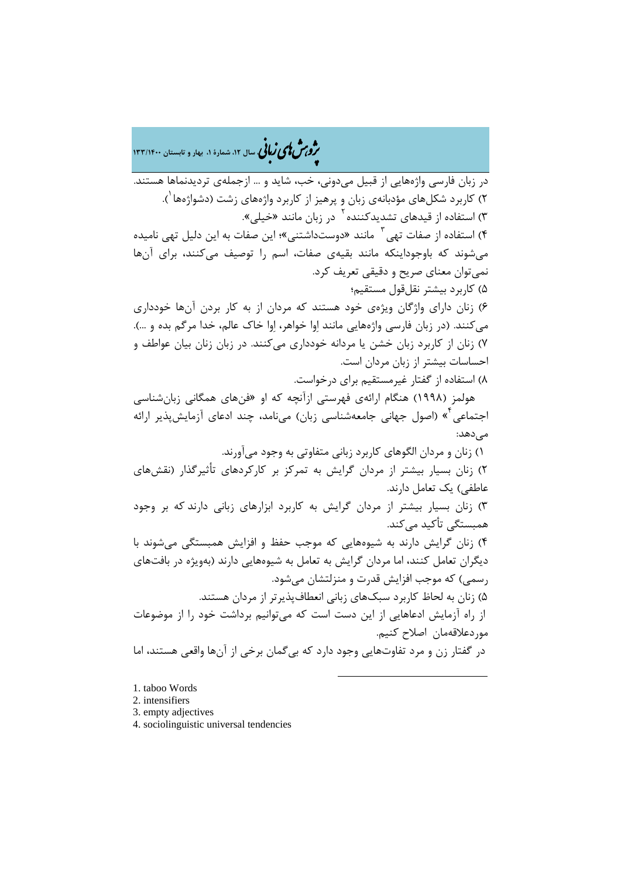�ی زبا **، سال ،12 شمارة ،1 بهار و تابستان 133/1400** � �و ی �ش

در زبان فارسی واژههایی از قبیل میدونی، خب، شاید و ... ازجملهي تردیدنماها هستند. ۲) کاربرد شکلهای مؤدبانهی زبان و پرهیز از کاربرد واژمهای زشت (دشواژمها <sup>۰</sup>). ۳) استفاده از قیدهای تشدیدکننده<sup>۲</sup> در زبان مانند «خیلی». ۴) استفاده از صفات تهی <sup>۳</sup> مانند «دوستداشتنی»؛ این صفات به این دلیل تهی نامیده میشوند که باوجوداینکه مانند بقیهي صفات، اسم را توصیف میکنند، براي آنها نمیتوان معناي صریح و دقیقی تعریف کرد. 5) کاربرد بیشتر نقلقول مستقیم؛ 6) زنان داراي واژگان ویژهي خود هستند که مردان از به کار بردن آنها خودداري میکنند. (در زبان فارسی واژههایی مانند اوا خواهر، اوا خاك عالم، خدا مرگم بده و ...). 7) زنان از کاربرد زبان خشن یا مردانه خودداري میکنند. در زبان زنان بیان عواطف و احساسات بیشتر از زبان مردان است. 8) استفاده از گفتار غیرمستقیم براي درخواست. هولمز (1998) هنگام ارائهي فهرستی ازآنچه که او «فنهاي همگانی زبانشناسی اجتماعی <sup>۲</sup>» (اصول جهانی جامعهشناسی زبان) میiامد، چند ادعای آزمایش پذیر ارائه مے دھد: 1) زنان و مردان الگوهاي کاربرد زبانی متفاوتی به وجود میآورند. 2) زنان بسیار بیشتر از مردان گرایش به تمرکز بر کارکردهاي تأثیرگذار (نقشهاي عاطفی) یک تعامل دارند. 3) زنان بسیار بیشتر از مردان گرایش به کاربرد ابزارهاي زبانی دارند که بر وجود همبستگی تأکید مے کند. 4) زنان گرایش دارند به شیوههایی که موجب حفظ و افزایش همبستگی میشوند با دیگران تعامل کنند، اما مردان گرایش به تعامل به شیوههایی دارند (بهویژه در بافتهاي رسمی) که موجب افزایش قدرت و منزلتشان میشود. 5) زنان به لحاظ کاربرد سبکهاي زبانی انعطافپذیرتر از مردان هستند. از راه آزمایش ادعاهایی از این دست است که میتوانیم برداشت خود را از موضوعات موردعلاقهمان اصلاح کنیم. در گفتار زن و مرد تفاوتهایی وجود دارد که بیگمان برخی از آنها واقعی هستند، اما 1

<span id="page-12-0"></span>1. taboo Words

<span id="page-12-1"></span>2. intensifiers

<span id="page-12-2"></span>3. empty adjectives

<span id="page-12-3"></span>4. sociolinguistic universal tendencies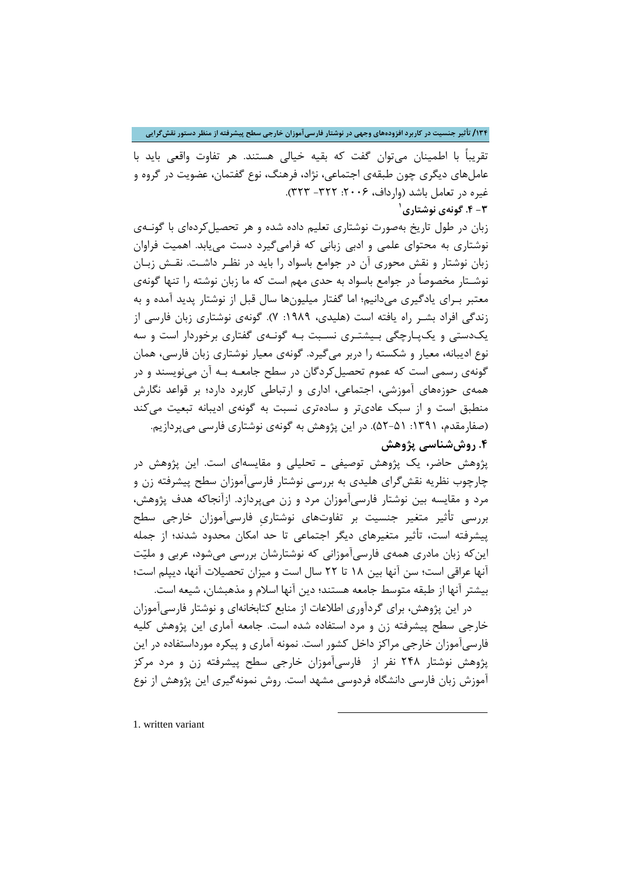**/134 تأثیر جنسیت در کاربرد افزودههاي وجهی در نوشتار فارسیآموزان خارجی سطح پیشرفته از منظر دستور نقشگرایی**

تقریباً با اطمینان میتوان گفت که بقیه خیالی هستند. هر تفاوت واقعی باید با عاملهاي دیگري چون طبقهي اجتماعی، نژاد، فرهنگ، نوع گفتمان، عضویت در گروه و غیره در تعامل باشد (وارداف، ۲۰۰۶: ۳۲۲- ۳۲۳). **[1](#page-13-0) -3 .4 گونهي نوشتاري**

زبان در طول تاریخ بهصورت نوشتاري تعلیم داده شده و هر تحصیلکردهاي با گونـهي نوشتاري به محتواي علمی و ادبی زبانی که فرامیگیرد دست مییابد. اهمیت فراوان زبان نوشتار و نقش محوري آن در جوامع باسواد را باید در نظـر داشـت. نقـش زبـان نوشـتار مخصوصاً در جوامع باسواد به حدي مهم است که ما زبان نوشته را تنها گونهي معتبر بـراي یادگیري میدانیم؛ اما گفتار میلیونها سال قبل از نوشتار پدید آمده و به زندگی افراد بشـر راه یافته است (هلیدی، ۱۹۸۹: ۷). گونهی نوشتاری زبان فارسی از یکدستی و یکپـارچگی بـیشتـري نسـبت بـه گونـهي گفتاري برخوردار است و سه نوع ادیبانه، معیار و شکسته را دربر میگیرد. گونهي معیار نوشتاري زبان فارسی، همان گونهي رسمی است که عموم تحصیل کردگان در سطح جامعـه بـه آن می نویسند و در همهي حوزههاي آموزشی، اجتماعی، اداري و ارتباطی کاربرد دارد؛ بر قواعد نگارش منطبق است و از سبک عاديتر و سادهتري نسبت به گونهي ادیبانه تبعیت میکند (صفارمقدم، ۱۳۹۱: ۵۱-۵۲). در این پژوهش به گونهی نوشتاری فارسی میپردازیم. **.4 روششناسی پژوهش**

پژوهش حاضر، یک پژوهش توصیفی ـ تحلیلی و مقایسهاي است. این پژوهش در چارچوب نظریه نقشگراي هلیدي به بررسی نوشتار فارسیآموزان سطح پیشرفته زن و مرد و مقایسه بین نوشتار فارسیآموزان مرد و زن میپردازد. ازآنجاکه هدف پژوهش، بررسی تأثیر متغیر جنسیت بر تفاوتهاي نوشتاريِ فارسیآموزان خارجی سطح پیشرفته است، تأثیر متغیرهاي دیگر اجتماعی تا حد امکان محدود شدند؛ از جمله اینکه زبان مادري همهي فارسیآموزانی که نوشتارشان بررسی میشود، عربی و ملیت آنها عراقی است؛ سن آنها بین 18 تا 22 سال است و میزان تحصیلات آنها، دیپلم است؛ بیشتر آنها از طبقه متوسط جامعه هستند؛ دین آنها اسلام و مذهبشان، شیعه است.

 در این پژوهش، براي گردآوري اطلاعات از منابع کتابخانهاي و نوشتار فارسیآموزان خارجی سطح پیشرفته زن و مرد استفاده شده است. جامعه آماري این پژوهش کلیه فارسیآموزان خارجی مراکز داخل کشور است. نمونه آماري و پیکره مورداستفاده در این پژوهش نوشتار 248 نفر از فارسیآموزان خارجی سطح پیشرفته زن و مرد مرکز آموزش زبان فارسی دانشگاه فردوسی مشهد است. روش نمونهگیري این پژوهش از نوع

 $\overline{a}$ 

<span id="page-13-0"></span>1. written variant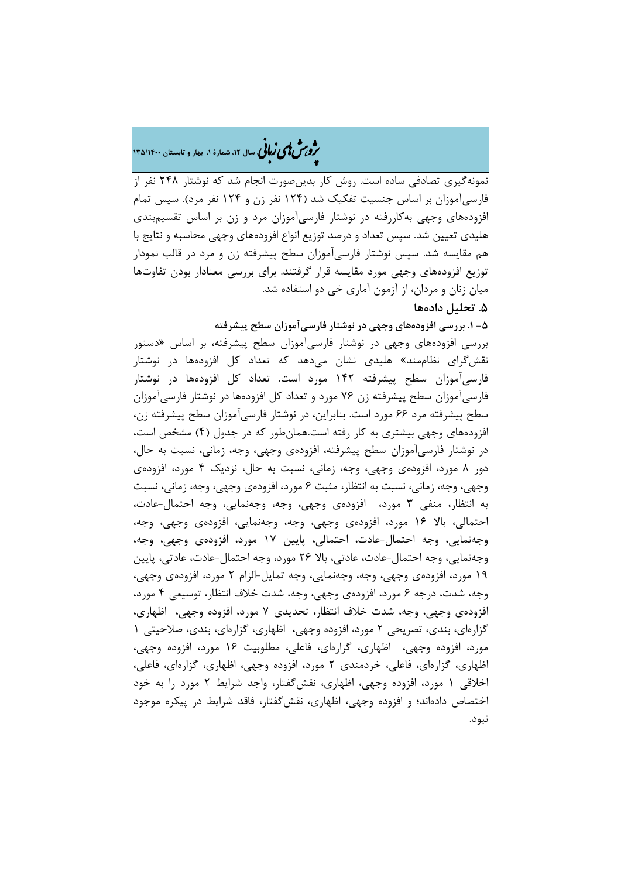# �ی زبا **، سال ،12 شمارة ،1 بهار و تابستان 135/1400** � �و ی �ش

نمونهگیري تصادفی ساده است. روش کار بدینصورت انجام شد که نوشتار 248 نفر از فارسیآموزان بر اساس جنسیت تفکیک شد (124 نفر زن و 124 نفر مرد). سپس تمام افزودههاي وجهی بهکاررفته در نوشتار فارسیآموزان مرد و زن بر اساس تقسیمبندي هلیدي تعیین شد. سپس تعداد و درصد توزیع انواع افزودههاي وجهی محاسبه و نتایج با هم مقایسه شد. سپس نوشتار فارسیآموزان سطح پیشرفته زن و مرد در قالب نمودار توزیع افزودههاي وجهی مورد مقایسه قرار گرفتند. براي بررسی معنادار بودن تفاوتها میان زنان و مردان، از آزمون آماري خی دو استفاده شد.

### **.5 تحلیل دادهها**

**-5 .1 بررسی افزودههاي وجهی در نوشتار فارسیآموزان سطح پیشرفته**

بررسی افزودههاي وجهی در نوشتار فارسیآموزان سطح پیشرفته، بر اساس «دستور نقشگراي نظاممند» هلیدي نشان میدهد که تعداد کل افزودهها در نوشتار فارسیآموزان سطح پیشرفته 142 مورد است. تعداد کل افزودهها در نوشتار فارسیآموزان سطح پیشرفته زن 76 مورد و تعداد کل افزودهها در نوشتار فارسیآموزان سطح پیشرفته مرد 66 مورد است. بنابراین، در نوشتار فارسیآموزان سطح پیشرفته زن، افزودههاي وجهی بیشتري به کار رفته است.همانطور که در جدول (4) مشخص است، در نوشتار فارسیآموزان سطح پیشرفته، افزودهي وجهی، وجه، زمانی، نسبت به حال، دور 8 مورد، افزودهي وجهی، وجه، زمانی، نسبت به حال، نزدیک 4 مورد، افزودهي وجهی، وجه، زمانی، نسبت به انتظار، مثبت 6 مورد، افزودهي وجهی، وجه، زمانی، نسبت به انتظار، منفی 3 مورد، افزودهي وجهی، وجه، وجهنمایی، وجه احتمال-عادت، احتمالی، بالا 16 مورد، افزودهي وجهی، وجه، وجهنمایی، افزودهي وجهی، وجه، وجهنمایی، وجه احتمال-عادت، احتمالی، پایین 17 مورد، افزودهي وجهی، وجه، وجهنمایی، وجه احتمال-عادت، عادتی، بالا 26 مورد، وجه احتمال-عادت، عادتی، پایین 19 مورد، افزودهي وجهی، وجه، وجهنمایی، وجه تمایل-الزام 2 مورد، افزودهي وجهی، وجه، شدت، درجه 6 مورد، افزودهي وجهی، وجه، شدت خلاف انتظار، توسیعی 4 مورد، افزودهي وجهی، وجه، شدت خلاف انتظار، تحدیدي 7 مورد، افزوده وجهی، اظهاري، گزارهاي، بندي، تصریحی 2 مورد، افزوده وجهی، اظهاري، گزارهاي، بندي، صلاحیتی 1 مورد، افزوده وجهی، اظهاري، گزارهاي، فاعلی، مطلوبیت 16 مورد، افزوده وجهی، اظهاري، گزارهاي، فاعلی، خردمندي 2 مورد، افزوده وجهی، اظهاري، گزارهاي، فاعلی، اخلاقی 1 مورد، افزوده وجهی، اظهاري، نقشگفتار، واجد شرایط 2 مورد را به خود اختصاص دادهاند؛ و افزوده وجهی، اظهاري، نقشگفتار، فاقد شرایط در پیکره موجود نبود.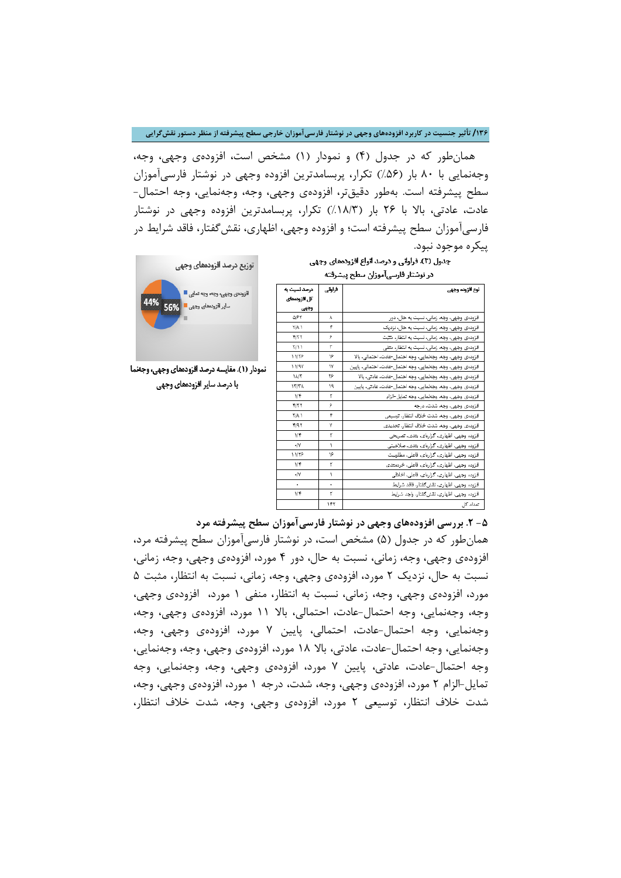**/136 تأثیر جنسیت در کاربرد افزودههاي وجهی در نوشتار فارسیآموزان خارجی سطح پیشرفته از منظر دستور نقشگرایی**

 همانطور که در جدول (4) و نمودار (1) مشخص است، افزودهي وجهی، وجه، وجهنمایی با 80 بار (%56) تکرار، پربسامدترین افزوده وجهی در نوشتار فارسیآموزان سطح پیشرفته است. بهطور دقیقتر، افزودهي وجهی، وجه، وجهنمایی، وجه احتمال- عادت، عادتی، بالا با 26 بار (%18/3) تکرار، پربسامدترین افزوده وجهی در نوشتار فارسیآموزان سطح پیشرفته است؛ و افزوده وجهی، اظهاري، نقشگفتار، فاقد شرایط در

# پیکر ه موجود نبود.<br>جدول (۴). فراوایی و درصد انواع افزودههای وجهی در نوشتار فلس آموزان سطح برشرفته

|  | ەر بوسىر تارسى مورىن سىن پيسرىيە |  |  |
|--|----------------------------------|--|--|
|  |                                  |  |  |

| لوع أفزوده وجهى                                              |     | درصد نست به  |
|--------------------------------------------------------------|-----|--------------|
|                                                              |     | كل افزودهمای |
|                                                              |     | وچهي         |
| افزودەی وچهی، وچه، زمانی، نسیت یه حال، دور                   | λ   | <b>AIPT</b>  |
| افزودەی وچهی، وچە، زمانی، نسبت يه حال، نزديک                 | ۴   | <b>TIA</b>   |
| افزودەی وچهی، وچه، زمانی، نسبت به انتظار، متتبت              | ۶   | <b>FITT</b>  |
| افزودەی وچهی، وجه، زمانی، نسبت یه انتظار، متقی               | ٣   | 5711         |
| افزودەی وچهی، وجه، وجهنمایی، وجه احتمال-عادت، احتمالی، یالا  | ۱۶  | 11/78        |
| افزودەی وجهی، وجه، وجەنمایی، وجه احتمال-عادت، احتمالی، پایین | ١٧  | 11/9V        |
| افزودەی وچهی، وجه، وجهنمایی، وجه احتمال-عادت، عادتی، یالا    | ٣۶  | <b>MT</b>    |
| افزودەی وجهی، وجه، وجهنمایی، وجه احتمال-عادت، عادتی، پایین   | ١٩  | <b>ITITA</b> |
| افزودەى وچهى، وجه، وجەنمايى، وجه تمايل-الزام                 | ۳   | 1/5          |
| افزودهی وچهی، وجه، شدت، درجه                                 | ۶   | <b>FITT</b>  |
| افزودەى وجهى، وجه، شدت خلاف انتظار، توسيعى                   | ۴   | <b>TIAN</b>  |
| افزودەى وجهى، وجه، شدت خلاف انتظار، تحديدى                   | ٧   | F/97         |
| افزوده وجهی، اظهاری، گزارهای، بتدی، تصریحی                   | ٣   | 1/F          |
| افزوده وجهی، اظهاری، گزارمای، بتدی، صلاحیتی                  | ١   | $\cdot N$    |
| افزوده وجهی، اظهاری، گزارمای، فاعلی، مطلوبیت                 | ١۶  | 11/78        |
| افزوده وجهی، اظهاری، گزارهای، فاعلی، خردمتدی                 | ۳   | 1/5          |
| افزوده وجهی، اظهاری، گزارمای، فاعلی، اخلاقی                  | ١   | $\cdot N$    |
| افزوده وجهى، اظهارى، نقش كفتار، فاقد شرايط                   | ٠   | ٠            |
| افزوده وجهى، اظهارى، نقش كفتار، واجد شرايط                   | ۳   | ۱/۴          |
| تعداد کا ر                                                   | ١۴٢ |              |



نمودار (١). مقايسه درصد افزودههای وجهی، وجعنما با درصد سایر افزودههای وجهی

**-5 .2 بررسی افزودههاي وجهی در نوشتار فارسیآموزان سطح پیشرفته مرد**

همانطور که در جدول (5) مشخص است، در نوشتار فارسیآموزان سطح پیشرفته مرد، افزودهي وجهی، وجه، زمانی، نسبت به حال، دور 4 مورد، افزودهي وجهی، وجه، زمانی، نسبت به حال، نزدیک 2 مورد، افزودهي وجهی، وجه، زمانی، نسبت به انتظار، مثبت 5 مورد، افزودهي وجهی، وجه، زمانی، نسبت به انتظار، منفی 1 مورد، افزودهي وجهی، وجه، وجهنمایی، وجه احتمال-عادت، احتمالی، بالا 11 مورد، افزودهي وجهی، وجه، وجهنمایی، وجه احتمال-عادت، احتمالی، پایین 7 مورد، افزودهي وجهی، وجه، وجهنمایی، وجه احتمال-عادت، عادتی، بالا 18 مورد، افزودهي وجهی، وجه، وجهنمایی، وجه احتمال-عادت، عادتی، پایین 7 مورد، افزودهي وجهی، وجه، وجهنمایی، وجه تمایل-الزام 2 مورد، افزودهي وجهی، وجه، شدت، درجه 1 مورد، افزودهي وجهی، وجه، شدت خلاف انتظار، توسیعی 2 مورد، افزودهي وجهی، وجه، شدت خلاف انتظار،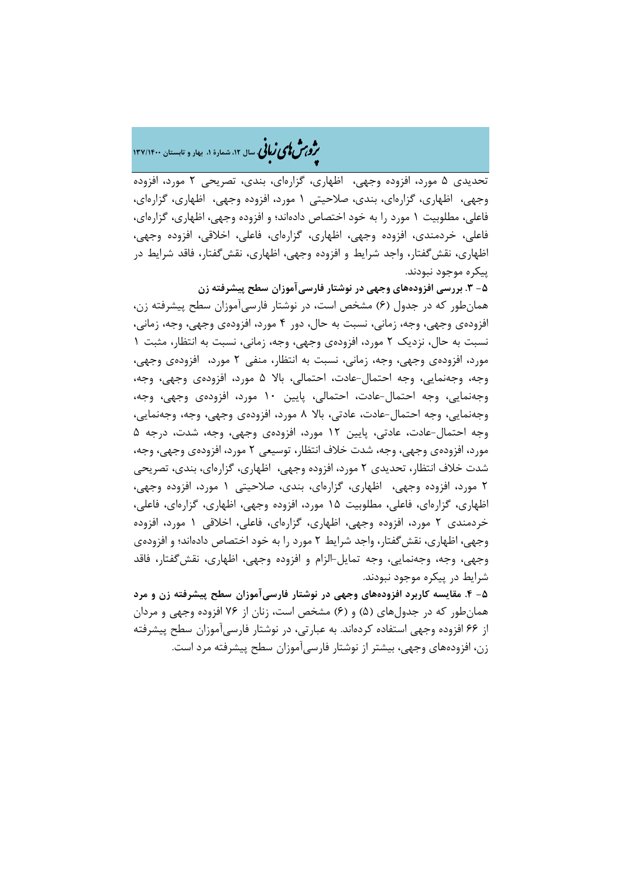# �ی زبا **، سال ،12 شمارة ،1 بهار و تابستان 137/1400** � �و ی �ش

تحدیدي 5 مورد، افزوده وجهی، اظهاري، گزارهاي، بندي، تصریحی 2 مورد، افزوده وجهی، اظهاري، گزارهاي، بندي، صلاحیتی 1 مورد، افزوده وجهی، اظهاري، گزارهاي، فاعلی، مطلوبیت 1 مورد را به خود اختصاص دادهاند؛ و افزوده وجهی، اظهاري، گزارهاي، فاعلی، خردمندي، افزوده وجهی، اظهاري، گزارهاي، فاعلی، اخلاقی، افزوده وجهی، اظهاري، نقشگفتار، واجد شرایط و افزوده وجهی، اظهاري، نقشگفتار، فاقد شرایط در پیکره موجود نبودند.

**-5 .3 بررسی افزودههاي وجهی در نوشتار فارسیآموزان سطح پیشرفته زن** همانطور که در جدول (6) مشخص است، در نوشتار فارسیآموزان سطح پیشرفته زن، افزودهي وجهی، وجه، زمانی، نسبت به حال، دور 4 مورد، افزودهي وجهی، وجه، زمانی، نسبت به حال، نزدیک 2 مورد، افزودهي وجهی، وجه، زمانی، نسبت به انتظار، مثبت 1 مورد، افزودهي وجهی، وجه، زمانی، نسبت به انتظار، منفی 2 مورد، افزودهي وجهی، وجه، وجهنمایی، وجه احتمال-عادت، احتمالی، بالا 5 مورد، افزودهي وجهی، وجه، وجهنمایی، وجه احتمال-عادت، احتمالی، پایین 10 مورد، افزودهي وجهی، وجه، وجهنمایی، وجه احتمال-عادت، عادتی، بالا 8 مورد، افزودهي وجهی، وجه، وجهنمایی، وجه احتمال-عادت، عادتی، پایین 12 مورد، افزودهي وجهی، وجه، شدت، درجه 5 مورد، افزودهي وجهی، وجه، شدت خلاف انتظار، توسیعی 2 مورد، افزودهي وجهی، وجه، شدت خلاف انتظار، تحدیدي 2 مورد، افزوده وجهی، اظهاري، گزارهاي، بندي، تصریحی 2 مورد، افزوده وجهی، اظهاري، گزارهاي، بندي، صلاحیتی 1 مورد، افزوده وجهی، اظهاري، گزارهاي، فاعلی، مطلوبیت 15 مورد، افزوده وجهی، اظهاري، گزارهاي، فاعلی، خردمندي 2 مورد، افزوده وجهی، اظهاري، گزارهاي، فاعلی، اخلاقی 1 مورد، افزوده وجهی، اظهاري، نقشگفتار، واجد شرایط 2 مورد را به خود اختصاص دادهاند؛ و افزودهي وجهی، وجه، وجهنمایی، وجه تمایل-الزام و افزوده وجهی، اظهاري، نقشگفتار، فاقد شرایط در پیکره موجود نبودند.

**-5 .4 مقایسه کاربرد افزودههاي وجهی در نوشتار فارسیآموزان سطح پیشرفته زن و مرد** همانطور که در جدولهاي (5) و (6) مشخص است، زنان از 76 افزوده وجهی و مردان از 66 افزوده وجهی استفاده کردهاند. به عبارتی، در نوشتار فارسیآموزان سطح پیشرفته زن، افزودههاي وجهی، بیشتر از نوشتار فارسیآموزان سطح پیشرفته مرد است.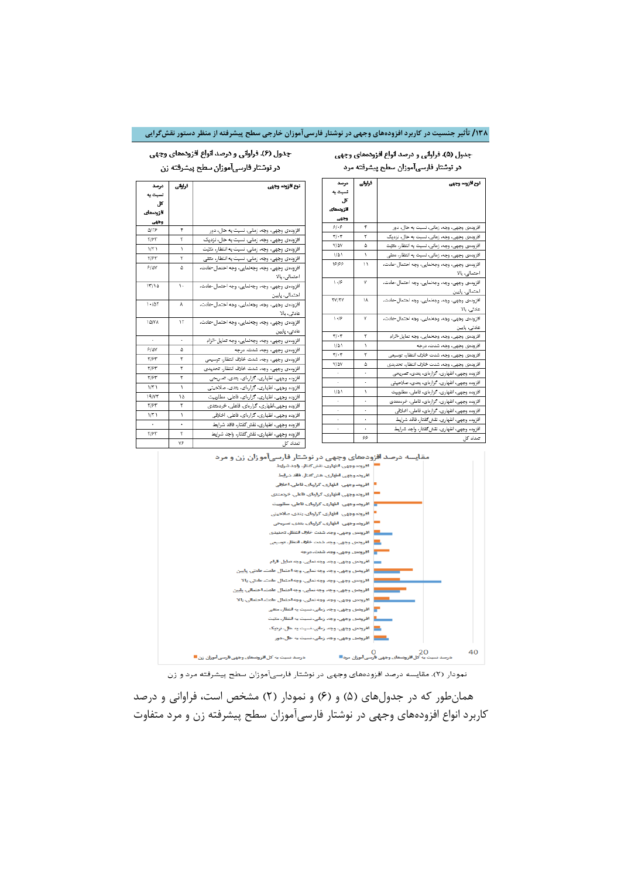### **/138 تأثیر جنسیت در کاربرد افزودههاي وجهی در نوشتار فارسیآموزان خارجی سطح پیشرفته از منظر دستور نقشگرایی**

#### جدول (۵). فراوانی و درصد انواع افزودههای وجهی در نوشتار فارسی آموزان سطح پیشرفته مرد

نوع أفزوده وجهى

احتمالی، بالا

احتمالی، پاییر

عادتی، پالا

عادتی، پایین

افزودهی وجهی، وجه، زمانی، نسبت به حال، دور

افزودهی وجهی، وجه، زمانی، نسبت به حال، نزدیک

افزودهی وجهی، وجه، زمانی، نسبت به انتظار، مثبّت افزودهی وجهی، وجه، زمانی، نسبت به انتظار، متفی

افزودهى وجهى، وجه، وجهلمايي، وجه احتمال-عادت،

افزودەی وجهی، وجه، وجهنمایی، وجه احتمال-عادت،

افزودهی وجهی، وجه، وجهانمایی، وجه احتمال-عادت،

افزودهى وجهىء وجه، وجهلمايي، وجه احتمال-عادت،

افزودهى وجهى، وجه، وجهنمايي، وجه تمايل-الزام

افزودهى وجهى، وجه، شدت خلاف انتظار، توسيعي

افزودهى وجهىء وجه شدت خلاف انتظار، تحديدى افزوده وجهی، اظهاری، گزارهای، یتدی، تصریحی افزوده وجهی، اظهاری، گزارهای، یتدی، صلاحیتی

افزوده وجهی، اظهاری، گزارهای، فاعلی، مطلوبیت افزوده وجهی، اظهاری، گزارهای، فاعلی، خردمتدی

افزوده وجهي، اظهاري، گزارءاي، فاعلي، اخلاقي افزوده وجهى، اظهارى، نقش كفتار، فاقد شرايط

افزوده وجهي، اظهاري، نقش كفتار، واجد شرايط

افزودهی وجهی، وجه، شدت، درجه

فراولى

 $\overline{\phantom{a}}$ 

 $\overline{\mathbf{r}}$ 

 $\Delta$ 

 $\bar{V}$ 

 $\boldsymbol{\mu}$ 

 $_{\rm Y}$ 

Λ

 $\mathbf{v}$ 

۳

 $\overline{1}$ 

 $\overline{\tau}$ 

 $\Delta$ 

 $\cdot$ 

 $\overline{1}$ 

 $\cdot$ 

 $\star$ 

 $\cdot$ 

درصد ئسيٽ يه کل افزودهای <u>وجهى</u>

 $91.9$ 

 $\tau$ . $\tau$ 

V/AV

 $1/\Delta1$ 

 $\frac{1}{2}$ 

 $\mathcal{N}\cdot\mathcal{P}$ 

**TV/TY** 

 $3 - 19$ 

 $\overline{\tau}/\cdot\overline{\tau}$ 

 $1/\Delta$  )

 $\tau/\cdot\tau$ 

Y/ AY

 $1/\Delta1$ 

 $\cdot$ 

### جدول (۶). قراوانی و درصد انواع افزودههای وجهی در نوشتار فارسیآموزان سطح پیشرفته زن

| درصد         | دراوفى | دوع الزوتم وجهى                                |
|--------------|--------|------------------------------------------------|
| ئسيٽ يه      |        |                                                |
| کا،          |        |                                                |
| افزودهای     |        |                                                |
| وجهى         |        |                                                |
| $\Delta$ /78 | ۴      | افزودەی وچهی، وچه، زمانی، نسیت یه حال، دور     |
| <b>TIPT</b>  | ٢      | افزودەی وجهی، وجه، زمانی، نسبت یه حال، نزدیک   |
| 1/7          | ١      | افزودەی وجهی، وجه، زمانی، نسبت به انتظار، متیت |
| <b>TIST</b>  | ۳      | افزودەی وچهی، وجه، زمانی، نسبت یه انتظار، متقی |
| PIOY         | ۵      | افزودەى وچهى، وجه، وجەنمايى، وجه احتمال-عادت،  |
|              |        | احتمالی، بالا                                  |
| 17/10        | ١.     | افزوددی وجهی، وجه، وجهنمایی، وجه احتمال-عادت،  |
|              |        | احتمالی، پایین                                 |
| $1 - 107$    | A      | افزودەی وچهی، وجه، وجەنمایی، وجه احتمال-عادت،  |
|              |        | عادتی، بالا                                    |
| 10/YA        | ۱۳     | افزودەى وچهى، وجه، وجەنمايى، وجه احتمال-عادت،  |
|              |        | عادتی، پایین                                   |
| ٠            | ٠      | افزودەى وچهى، وجه، وجەنمايى، وجه تمايل-الزام   |
| <b>PIOY</b>  | ۵      | افزودەی وجهی، وجه، شدت، درجه                   |
| <b>TIPT</b>  | ٣      | افزودەى وجهى، وجه، شدت خلاف انتظار، توسيعى     |
| <b>TIPT</b>  | ٢      | افزودهى وجهى، وجه، شدت خلاف انتظار، تحديدى     |
| <b>T/PT</b>  | ٢      | افزوده وجهی، اظهاری، گزارهای، یتدی، تصریحی     |
| 1/7          | ١      | افزوده وجهي، اظهاري، گزارهاي، يتدي، صلاحيتي    |
| 19/77        | ۱۵     | افزوده وجهی، اظهاری، گزارهای، فاعلی، مطلوبیت   |
| <b>TIST</b>  | ٢      | افزوده وجهی،اظهاری، گزارءای، فاعلی، خردمتدی    |
| 1/7          | ١      | افزوده وجهى، اظهارى، كزارءاى، فاعلى، اخلاقى    |
| ٠            | ٠      | افزوده وجهى، اظهارى، نقش كفتار، فاقد شرايط     |
| <b>TIST</b>  | ۳      | افزوده وجهىء اظهارىء نقش كفتار، واجد شرايط     |
|              | ٧۶     | تعداد کل                                       |
|              |        |                                                |



نمودار (۲). مقایسه درصد افزودههای وجهی در نوشتار فارسیآموزان سطح پیشرفته مرد و زن

همانطور که در جدولهاي (5) و (6) و نمودار (2) مشخص است، فراوانی و درصد کاربرد انواع افزودههاي وجهی در نوشتار فارسیآموزان سطح پیشرفته زن و مرد متفاوت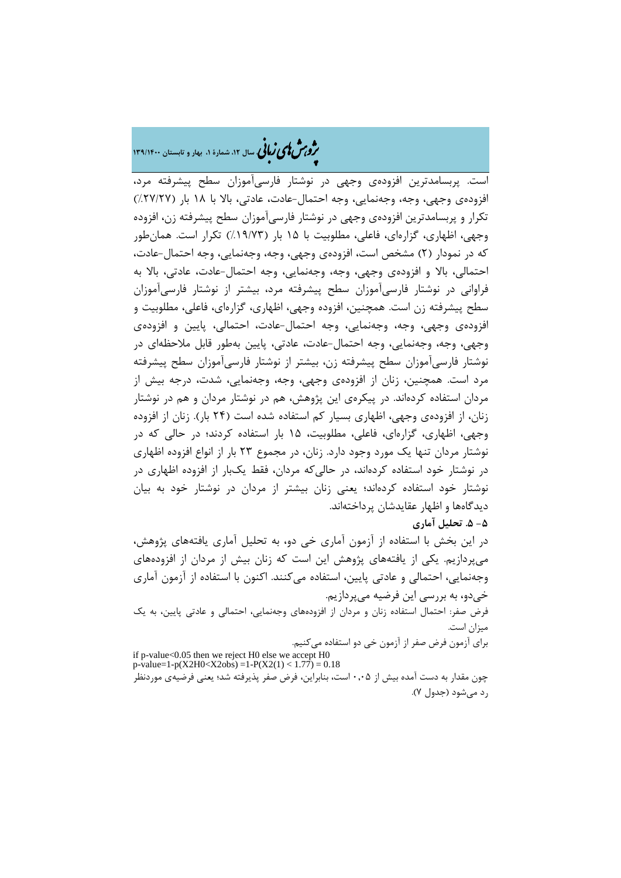# �ی زبا **، سال ،12 شمارة ،1 بهار و تابستان 139/1400** � �و ی �ش

است. پربسامدترین افزودهي وجهی در نوشتار فارسیآموزان سطح پیشرفته مرد، افزودهي وجهی، وجه، وجهنمایی، وجه احتمال-عادت، عادتی، بالا با 18 بار (%27/27) تکرار و پربسامدترین افزودهي وجهی در نوشتار فارسیآموزان سطح پیشرفته زن، افزوده وجهی، اظهاري، گزارهاي، فاعلی، مطلوبیت با 15 بار (%19/73) تکرار است. همانطور که در نمودار (2) مشخص است، افزودهي وجهی، وجه، وجهنمایی، وجه احتمال-عادت، احتمالی، بالا و افزودهي وجهی، وجه، وجهنمایی، وجه احتمال-عادت، عادتی، بالا به فراوانی در نوشتار فارسیآموزان سطح پیشرفته مرد، بیشتر از نوشتار فارسیآموزان سطح پیشرفته زن است. همچنین، افزوده وجهی، اظهاري، گزارهاي، فاعلی، مطلوبیت و افزودهي وجهی، وجه، وجهنمایی، وجه احتمال-عادت، احتمالی، پایین و افزودهي وجهی، وجه، وجهنمایی، وجه احتمال-عادت، عادتی، پایین بهطور قابل ملاحظهاي در نوشتار فارسیآموزان سطح پیشرفته زن، بیشتر از نوشتار فارسیآموزان سطح پیشرفته مرد است. همچنین، زنان از افزودهي وجهی، وجه، وجهنمایی، شدت، درجه بیش از مردان استفاده کردهاند. در پیکرهي این پژوهش، هم در نوشتار مردان و هم در نوشتار زنان، از افزودهي وجهی، اظهاري بسیار کم استفاده شده است (24 بار). زنان از افزوده وجهی، اظهاري، گزارهاي، فاعلی، مطلوبیت، 15 بار استفاده کردند؛ در حالی که در نوشتار مردان تنها یک مورد وجود دارد. زنان، در مجموع 23 بار از انواع افزوده اظهاري در نوشتار خود استفاده کردهاند، در حالیکه مردان، فقط یکبار از افزوده اظهاري در نوشتار خود استفاده کردهاند؛ یعنی زنان بیشتر از مردان در نوشتار خود به بیان دیدگاهها و اظهار عقایدشان پرداختهاند. **-5 .5 تحلیل آماري**

در این بخش با استفاده از آزمون آماري خی دو، به تحلیل آماري یافتههاي پژوهش، میپردازیم. یکی از یافتههاي پژوهش این است که زنان بیش از مردان از افزودههاي وجهنمایی، احتمالی و عادتی پایین، استفاده میکنند. اکنون با استفاده از آزمون آماري خیدو، به بررسی این فرضیه میپردازیم. فرض صفر: احتمال استفاده زنان و مردان از افزودههاي وجهنمایی، احتمالی و عادتی پایین، به یک

میزان است. براي آزمون فرض صفر از آزمون خی دو استفاده میکنیم.

if p-value<0.05 then we reject H0 else we accept H0 p-value=1-p(X2H0<X2obs) =1-P(X2(1) < 1.77) = 0.18 چون مقدار به دست آمده بیش از 0,05 است، بنابراین، فرض صفر پذیرفته شد؛ یعنی فرضیهي موردنظر رد میشود (جدول 7).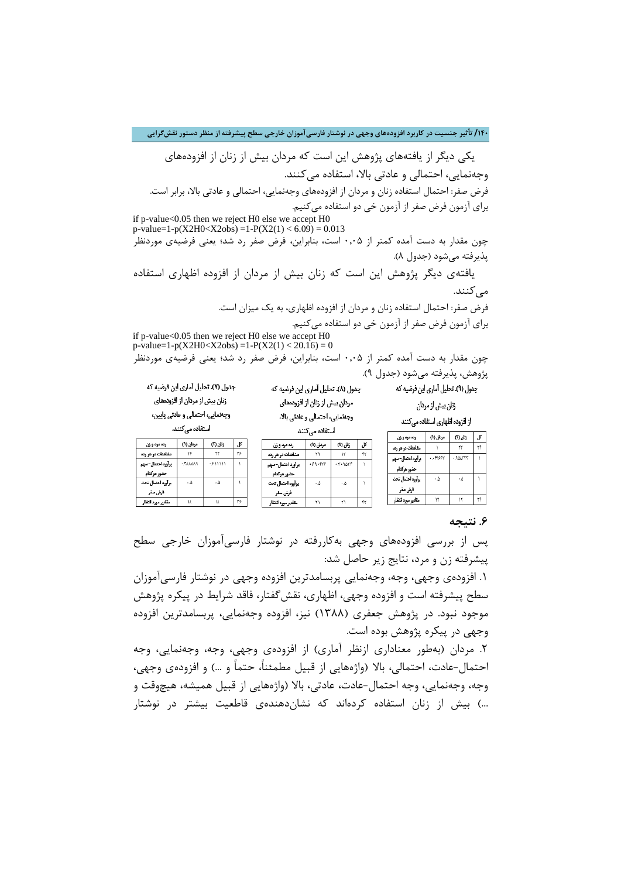**/140 تأثیر جنسیت در کاربرد افزودههاي وجهی در نوشتار فارسیآموزان خارجی سطح پیشرفته از منظر دستور نقشگرایی**

 یکی دیگر از یافتههاي پژوهش این است که مردان بیش از زنان از افزودههاي وجهنمایی، احتمالی و عادتی بالا، استفاده میکنند. فرض صفر: احتمال استفاده زنان و مردان از افزودههاي وجهنمایی، احتمالی و عادتی بالا، برابر است. براي آزمون فرض صفر از آزمون خی دو استفاده میکنیم.

if p-value<0.05 then we reject H0 else we accept H0  $p$ -value=1-p(X2H0<X2obs) =1-P(X2(1) < 6.09) = 0.013

چون مقدار به دست آمده کمتر از 0,05 است، بنابراین، فرض صفر رد شد؛ یعنی فرضیهي موردنظر پذیرفته میشود (جدول 8).

 یافتهي دیگر پژوهش این است که زنان بیش از مردان از افزوده اظهاري استفاده مے کنند.

> فرض صفر: احتمال استفاده زنان و مردان از افزوده اظهاري، به یک میزان است. براي آزمون فرض صفر از آزمون خی دو استفاده میکنیم.

if p-value<0.05 then we reject H0 else we accept H0 p-value=1-p(X2H0<X2obs) =1-P(X2(1) < 20.16) = 0 چون مقدار به دست آمده کمتر از 0,05 است، بنابراین، فرض صفر رد شد؛ یعنی فرضیهي موردنظر

جدول (٨). تحليل آماري اين فرضيه كه

مردان پیش از زنان از افزودههای

پژوهش، پذیرفته میشود (جدول 9).

حضور هركدام يرآورد احتمال تحت

فرض صقر مقادير مورد انتظار

جدول (۹). تحلیل آماری این فرضیه که

زنان بيش از مردان

از افزوده اظهاری استفاده می کنند مردان (۱)

 $.15199V$ 

 $\cdot \Delta$ 

 $\mathcal{M}$ 

|           | وجدمايي، احتمالي و عادتي بالا<br>استقاده می کنند |          | .,<br>ه میکنند    |
|-----------|--------------------------------------------------|----------|-------------------|
|           |                                                  |          | رده مرد و ژن      |
| رده مرد   | مردان (۱)                                        | زنان (۱) | مشاهدات در هر رده |
| مشاهدات د |                                                  |          | برآورد احتمال-سهم |
| .         |                                                  |          |                   |

| رده مرد و ژن       | مردان (۱)     | ጠ : 63  | کل، |
|--------------------|---------------|---------|-----|
| مشاهدات در هر رده  |               | ٣٢      | ٣۶  |
| یر آورد احتمال–سهم | <b>PAAAA1</b> | ۰۶۱۱۱۱۱ |     |
| حضور هركدام        |               |         |     |
| يرآورد احتمال تحت  | ۰۵            | ه.      |     |
| فرض صقر            |               |         |     |
| مقادير مورد انتظار | ١٨            | ١٨      | ٣۶  |

جدول (٧). تحليل آماري اين فرضيه كه

زنان پیش از مردان از اقزودههای

وجهمايي، احتمالي و عادتي پايين،

استفاده می کنند.

| رده مرد و ژن        | مردان (۱) | زنان (۱)    |  |
|---------------------|-----------|-------------|--|
| مشاهدات در هر رده   | ٢٩        |             |  |
| یر آورد احتمال– سهم | .99.999   | - 7 - 947 F |  |
| حضور هركدام         |           |             |  |
| يرأورد احتمال تحت   | ۰۵        | ه.          |  |
| فرض صقر             |           |             |  |
| مقادير مورد انتظار  |           |             |  |

| يرآورد | .99.999 | $.5 - 9057$ |    |  |
|--------|---------|-------------|----|--|
| 'n,    |         |             |    |  |
| يرآورد | ۰۵      | ۵.          |    |  |
| ś      |         |             |    |  |
| مقادر  | ٢١      | ٢١          | ۴۲ |  |

#### **.6 نتیجه**

زئان (۲) .।

> $\uparrow\uparrow$  $\uparrow\uparrow$

 $.9$  $\triangle$ ATTT

 $\cdot \Delta$ 

 $\uparrow\uparrow$ ٢۴

پس از بررسی افزودههاي وجهی بهکاررفته در نوشتار فارسیآموزان خارجی سطح پیشرفته زن و مرد، نتایج زیر حاصل شد:

.1 افزودهي وجهی، وجه، وجهنمایی پربسامدترین افزوده وجهی در نوشتار فارسیآموزان سطح پیشرفته است و افزوده وجهی، اظهاري، نقشگفتار، فاقد شرایط در پیکره پژوهش موجود نبود. در پژوهش جعفري (1388) نیز، افزوده وجهنمایی، پربسامدترین افزوده وجهی در پیکره پژوهش بوده است.

.2 مردان (بهطور معناداري ازنظر آماري) از افزودهي وجهی، وجه، وجهنمایی، وجه احتمال-عادت، احتمالی، بالا (واژههایی از قبیل مطمئنا،ً حتماً و ...) و افزودهي وجهی، وجه، وجهنمایی، وجه احتمال-عادت، عادتی، بالا (واژههایی از قبیل همیشه، هیچوقت و ...) بیش از زنان استفاده کردهاند که نشاندهندهي قاطعیت بیشتر در نوشتار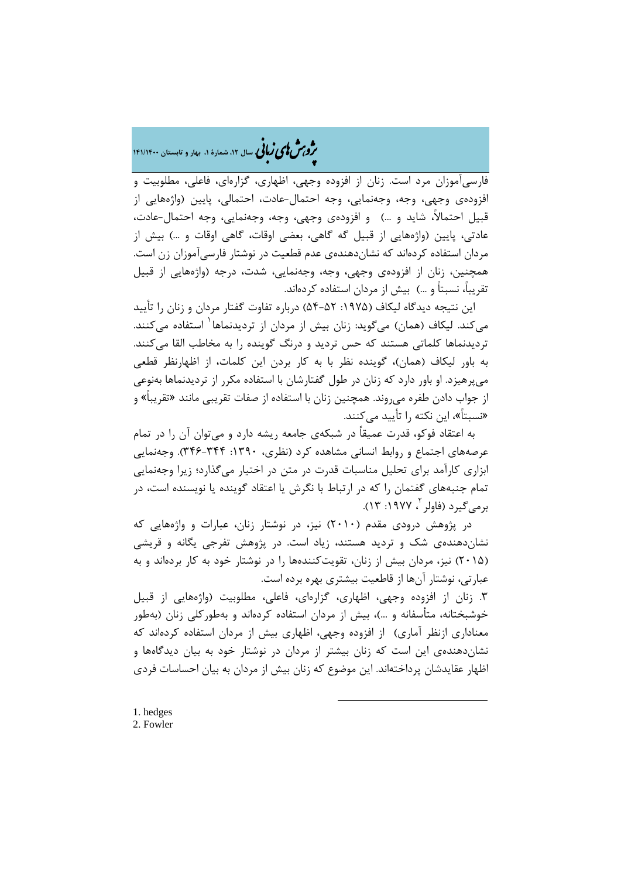# �ی زبا **، سال ،12 شمارة ،1 بهار و تابستان 141/1400** � �و ی �ش

فارسیآموزان مرد است. زنان از افزوده وجهی، اظهاري، گزارهاي، فاعلی، مطلوبیت و افزودهي وجهی، وجه، وجهنمایی، وجه احتمال-عادت، احتمالی، پایین (واژههایی از قبیل احتمالا،ً شاید و ...) و افزودهي وجهی، وجه، وجهنمایی، وجه احتمال-عادت، عادتی، پایین (واژههایی از قبیل گه گاهی، بعضی اوقات، گاهی اوقات و ...) بیش از مردان استفاده کردهاند که نشاندهندهي عدم قطعیت در نوشتار فارسیآموزان زن است. همچنین، زنان از افزودهي وجهی، وجه، وجهنمایی، شدت، درجه (واژههایی از قبیل تقریبا،ً نسبتاً و ...) بیش از مردان استفاده کردهاند.

این نتیجه دیدگاه لیکاف (۱۹۷۵: ۵۲-۵۴) درباره تفاوت گفتار مردان و زنان را تأیید میکند. لیکاف (همان) میگوید: زنان بیش از مردان از تردیدنماها استفاده میکنند. [1](#page-20-0) تردیدنماها کلماتی هستند که حس تردید و درنگ گوینده را به مخاطب القا میکنند. به باور لیکاف (همان)، گوینده نظر با به کار بردن این کلمات، از اظهارنظر قطعی میپرهیزد. او باور دارد که زنان در طول گفتارشان با استفاده مکرر از تردیدنماها بهنوعی از جواب دادن طفره میروند. همچنین زنان با استفاده از صفات تقریبی مانند «تقریباً» و «نسبتاً»، این نکته را تأیید میکنند.

 به اعتقاد فوکو، قدرت عمیقاً در شبکهي جامعه ریشه دارد و میتوان آن را در تمام عرصههاي اجتماع و روابط انسانی مشاهده کرد (نظري، :1390 346-344). وجهنمایی ابزاري کارآمد براي تحلیل مناسبات قدرت در متن در اختیار میگذارد؛ زیرا وجهنمایی تمام جنبههاي گفتمان را که در ارتباط با نگرش یا اعتقاد گوینده یا نویسنده است، در برمیگیرد (فاولر <sup>۲</sup>، ۱۹۷۷: ۱۳).

 در پژوهش درودي مقدم (2010) نیز، در نوشتار زنان، عبارات و واژههایی که نشاندهندهي شک و تردید هستند، زیاد است. در پژوهش تفرجی یگانه و قریشی (2015) نیز، مردان بیش از زنان، تقویتکنندهها را در نوشتار خود به کار بردهاند و به عبارتی، نوشتار آنها از قاطعیت بیشتري بهره برده است.

<span id="page-20-1"></span><span id="page-20-0"></span>.3 زنان از افزوده وجهی، اظهاري، گزارهاي، فاعلی، مطلوبیت (واژههایی از قبیل خوشبختانه، متأسفانه و ...)، بیش از مردان استفاده کردهاند و بهطورکلی زنان (بهطور معناداري ازنظر آماري) از افزوده وجهی، اظهاري بیش از مردان استفاده کردهاند که نشاندهندهي این است که زنان بیشتر از مردان در نوشتار خود به بیان دیدگاهها و اظهار عقایدشان پرداختهاند. این موضوع که زنان بیش از مردان به بیان احساسات فردي

**.**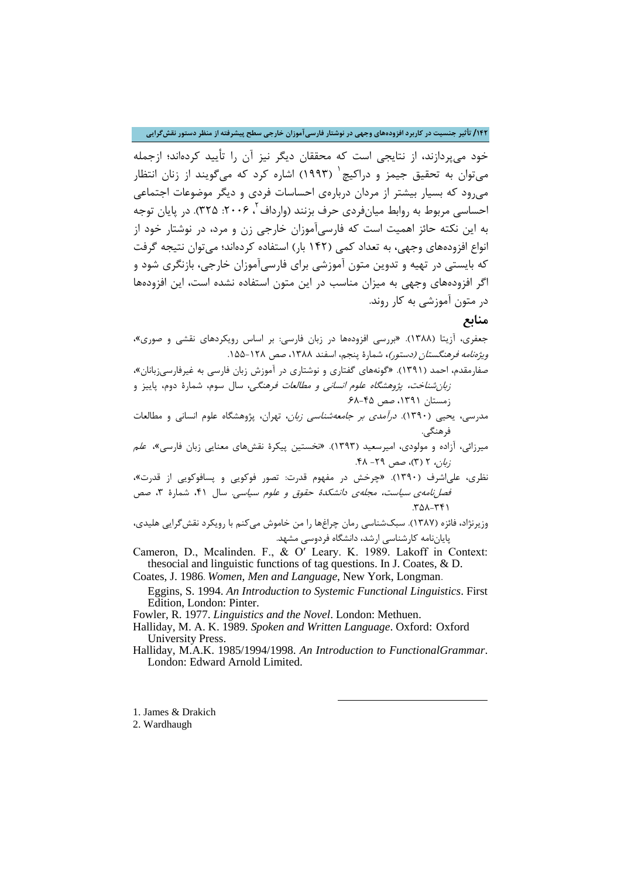**/142 تأثیر جنسیت در کاربرد افزودههاي وجهی در نوشتار فارسیآموزان خارجی سطح پیشرفته از منظر دستور نقشگرایی**

خود میپردازند، از نتایجی است که محققان دیگر نیز آن را تأیید کردهاند؛ ازجمله میتوان به تحقیق جیمز و دراکیچ (1993) اشاره کرد که میگویند از زنان انتظار [1](#page-21-0) میرود که بسیار بیشتر از مردان دربارهي احساسات فردي و دیگر موضوعات اجتماعی احساسی مربوط به روابط میانفردی حرف بزنند (وارداف <sup>۲</sup> ، ۲۰۰۶: ۳۲۵). در پایان توجه به این نکته حائز اهمیت است که فارسیآموزان خارجی زن و مرد، در نوشتار خود از انواع افزودههاي وجهی، به تعداد کمی (142 بار) استفاده کردهاند؛ میتوان نتیجه گرفت که بایستی در تهیه و تدوین متون آموزشی براي فارسیآموزان خارجی، بازنگري شود و اگر افزودههاي وجهی به میزان مناسب در این متون استفاده نشده است، این افزودهها در متون آموزشی به کار روند.

### **منابع**

جعفري، آزیتا (1388). «بررسی افزودهها در زبان فارسی: بر اساس رویکردهاي نقشی و صوري»، ویژهنامه فرهنگستان (دستور)**،** شمارة پنجم، اسفند ،1388 صص .155-128 صفارمقدم، احمد (1391). «گونههاي گفتاري و نوشتاري در آموزش زبان فارسی به غیرفارسیزبانان»،

زبانشناخت، پژوهشگاه علوم انسانی و مطالعات فرهنگی، سال سوم، شمارة دوم، پاییز و زمستان ،1391 صص .68-45

مدرسی، یحیی (1390). درآمدي بر جامعهشناسی زبان، تهران، پژوهشگاه علوم انسانی و مطالعات فرهنگی.

میرزائی، آزاده و مولودي، امیرسعید (1393). «نخستین پیکرة نقشهاي معنایی زبان فارسی»، علم  $\mathcal{F}(\mathcal{X})$ ، صص 79 - ۴۸.

نظري، علیاشرف (1390). «چرخش در مفهوم قدرت: تصور فوکویی و پسافوکویی از قدرت»، فصلنامهی سیاست، مجلهی دانشکدهٔ حقوق و علوم سیاسی. سال ۴۱، شمارهٔ ۳، صص .358-341

وزیرنژاد، فائزه (1387). سبکشناسی رمان چراغها را من خاموش میکنم با رویکرد نقشگرایی هلیدي، پایاننامه کارشناسی ارشد، دانشگاه فردوسی مشهد.

Cameron, D., Mcalinden. F., & O′ Leary. K. 1989. Lakoff in Context: thesocial and linguistic functions of tag questions. In J. Coates, & D.

Coates, J. 1986. *Women, Men and Language*, New York, Longman.

Eggins, S. 1994. *An Introduction to Systemic Functional Linguistics*. First Edition, London: Pinter.

Fowler, R. 1977. *Linguistics and the Novel*. London: Methuen.

Halliday, M. A. K. 1989. *Spoken and Written Language*. Oxford: Oxford University Press.

Halliday, M.A.K. 1985/1994/1998. *An Introduction to FunctionalGrammar*. London: Edward Arnold Limited.

**.** 

<span id="page-21-0"></span>1. James & Drakich

<span id="page-21-1"></span>2. Wardhaugh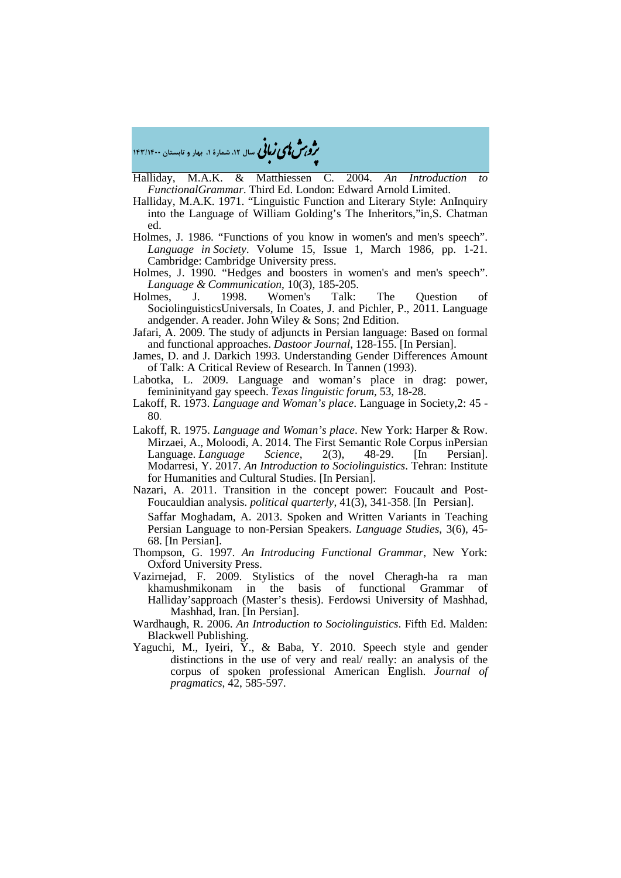Halliday, M.A.K. & Matthiessen C. 2004. *An Introduction to* 

�ی زبا **، سال ،12 شمارة ،1 بهار و تابستان 143/1400** � �و ی �ش

*FunctionalGrammar*. Third Ed. London: Edward Arnold Limited. Halliday, M.A.K. 1971. "Linguistic Function and Literary Style: AnInquiry

- into the Language of William Golding's The Inheritors,"in,S. Chatman ed.
- Holmes, J. 1986. "Functions of you know in women's and men's speech". *Language in Society*. Volume 15, Issue 1, March 1986, pp. 1-21. Cambridge: Cambridge University press.
- Holmes, J. 1990. "Hedges and boosters in women's and men's speech". *Language & Communication*, 10(3), 185-205.<br> **Holmes**, J. 1998. Women's Talk:
- Women's Talk: The Question of SociolinguisticsUniversals, In Coates, J. and Pichler, P., 2011. Language andgender. A reader. John Wiley & Sons; 2nd Edition.
- Jafari, A. 2009. The study of adjuncts in Persian language: Based on formal and functional approaches. *Dastoor Journal*, 128-155. [In Persian].
- James, D. and J. Darkich 1993. Understanding Gender Differences Amount of Talk: A Critical Review of Research. In Tannen (1993).
- Labotka, L. 2009. Language and woman's place in drag: power, femininityand gay speech. *Texas linguistic forum*, 53, 18-28.
- Lakoff, R. 1973. *Language and Woman's place*. Language in Society,2: 45 80.
- Lakoff, R. 1975. *Language and Woman's place*. New York: Harper & Row. Mirzaei, A., Moloodi, A. 2014. The First Semantic Role Corpus inPersian<br>Language. *Language Science*, 2(3), 48-29. [In Persian]. Language. *Language Science*, 2(3), 48-29. [In Persian]. Modarresi, Y. 2017. *An Introduction to Sociolinguistics*. Tehran: Institute for Humanities and Cultural Studies. [In Persian].
- Nazari, A. 2011. Transition in the concept power: Foucault and Post-Foucauldian analysis. *political quarterly*, 41(3), 341-358. [In Persian].

Saffar Moghadam, A. 2013. Spoken and Written Variants in Teaching Persian Language to non-Persian Speakers. *Language Studies*, 3(6), 45- 68. [In Persian].

- Thompson, G. 1997. *An Introducing Functional Grammar*, New York: Oxford University Press.
- Vazirnejad, F. 2009. Stylistics of the novel Cheragh-ha ra man basis of functional Grammar of Halliday'sapproach (Master's thesis). Ferdowsi University of Mashhad, Mashhad, Iran. [In Persian].
- Wardhaugh, R. 2006. *An Introduction to Sociolinguistics*. Fifth Ed. Malden: Blackwell Publishing.
- Yaguchi, M., Iyeiri, Y., & Baba, Y. 2010. Speech style and gender distinctions in the use of very and real/ really: an analysis of the corpus of spoken professional American English. *Journal of pragmatics*, 42, 585-597.